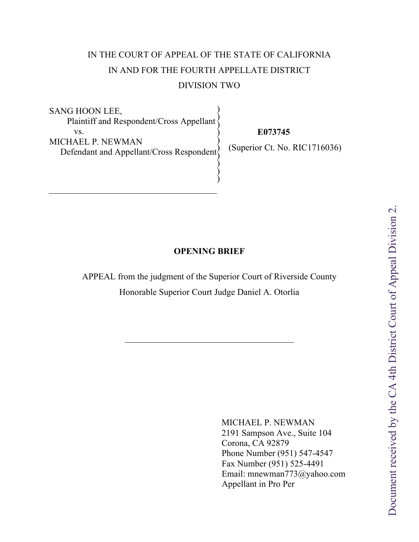# IN THE COURT OF APPEAL OF THE STATE OF CALIFORNIA IN AND FOR THE FOURTH APPELLATE DISTRICT DIVISION TWO

SANG HOON LEE, Plaintiff and Respondent/Cross Appellant vs. MICHAEL P. NEWMAN  $\text{Defendant}$  and Appellant/Cross Respondent $\}$ ) ) ) ) ) ) )

 **E073745**

(Superior Ct. No. RIC1716036)

# **OPENING BRIEF**

) )

Í

APPEAL from the judgment of the Superior Court of Riverside County Honorable Superior Court Judge Daniel A. Otorlia

 $\mathcal{L}_\mathcal{L}$  , where  $\mathcal{L}_\mathcal{L}$  is the set of the set of the set of the set of the set of the set of the set of the set of the set of the set of the set of the set of the set of the set of the set of the set of the

MICHAEL P. NEWMAN 2191 Sampson Ave., Suite 104 Corona, CA 92879 Phone Number (951) 547-4547 Fax Number (951) 525-4491 Email: mnewman773@yahoo.com Appellant in Pro Per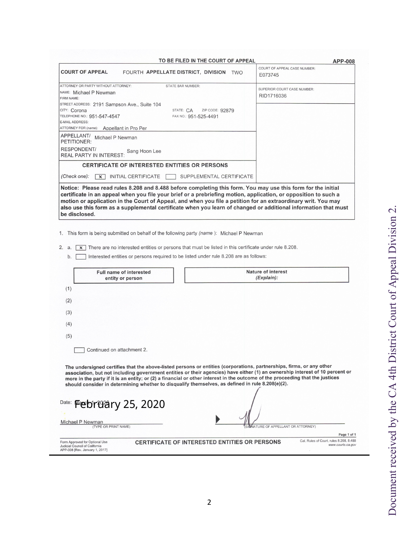| <b>COURT OF APPEAL</b>                                     |                                                                                                                                                                                                                                                                                                                                                                                                                                                                                           | APP-008<br>COURT OF APPEAL CASE NUMBER: |
|------------------------------------------------------------|-------------------------------------------------------------------------------------------------------------------------------------------------------------------------------------------------------------------------------------------------------------------------------------------------------------------------------------------------------------------------------------------------------------------------------------------------------------------------------------------|-----------------------------------------|
|                                                            | FOURTH APPELLATE DISTRICT, DIVISION TWO                                                                                                                                                                                                                                                                                                                                                                                                                                                   | E073745                                 |
| ATTORNEY OR PARTY WITHOUT ATTORNEY:                        | <b>STATE BAR NUMBER:</b>                                                                                                                                                                                                                                                                                                                                                                                                                                                                  | SUPERIOR COURT CASE NUMBER:             |
| NAME: Michael P Newman                                     |                                                                                                                                                                                                                                                                                                                                                                                                                                                                                           | RID1716036                              |
| FIRM NAME:<br>STREET ADDRESS: 2191 Sampson Ave., Suite 104 |                                                                                                                                                                                                                                                                                                                                                                                                                                                                                           |                                         |
| CITY: Corona                                               | STATE: CA<br>ZIP CODE: 92879                                                                                                                                                                                                                                                                                                                                                                                                                                                              |                                         |
| TELEPHONE NO.: 951-547-4547                                | FAX NO.: 951-525-4491                                                                                                                                                                                                                                                                                                                                                                                                                                                                     |                                         |
| E-MAIL ADDRESS:                                            |                                                                                                                                                                                                                                                                                                                                                                                                                                                                                           |                                         |
| ATTORNEY FOR (name): Appellant in Pro Per                  |                                                                                                                                                                                                                                                                                                                                                                                                                                                                                           |                                         |
| APPELLANT/ Michael P Newman<br>PETITIONER:                 |                                                                                                                                                                                                                                                                                                                                                                                                                                                                                           |                                         |
| <b>RESPONDENT/</b><br><b>REAL PARTY IN INTEREST:</b>       | Sang Hoon Lee                                                                                                                                                                                                                                                                                                                                                                                                                                                                             |                                         |
|                                                            | <b>CERTIFICATE OF INTERESTED ENTITIES OR PERSONS</b>                                                                                                                                                                                                                                                                                                                                                                                                                                      |                                         |
| (Check one):                                               | $x$ INITIAL CERTIFICATE<br>SUPPLEMENTAL CERTIFICATE                                                                                                                                                                                                                                                                                                                                                                                                                                       |                                         |
|                                                            |                                                                                                                                                                                                                                                                                                                                                                                                                                                                                           |                                         |
|                                                            | 1. This form is being submitted on behalf of the following party <i>(name)</i> : Michael P Newman<br>$\overline{x}$ There are no interested entities or persons that must be listed in this certificate under rule 8.208.                                                                                                                                                                                                                                                                 |                                         |
| b.                                                         | Interested entities or persons required to be listed under rule 8.208 are as follows:                                                                                                                                                                                                                                                                                                                                                                                                     |                                         |
|                                                            | <b>Full name of interested</b><br>entity or person                                                                                                                                                                                                                                                                                                                                                                                                                                        | <b>Nature of interest</b><br>(Explain): |
| (1)                                                        |                                                                                                                                                                                                                                                                                                                                                                                                                                                                                           |                                         |
| (2)                                                        |                                                                                                                                                                                                                                                                                                                                                                                                                                                                                           |                                         |
| (3)                                                        |                                                                                                                                                                                                                                                                                                                                                                                                                                                                                           |                                         |
| (4)                                                        |                                                                                                                                                                                                                                                                                                                                                                                                                                                                                           |                                         |
| (5)                                                        |                                                                                                                                                                                                                                                                                                                                                                                                                                                                                           |                                         |
|                                                            | Continued on attachment 2.                                                                                                                                                                                                                                                                                                                                                                                                                                                                |                                         |
|                                                            | The undersigned certifies that the above-listed persons or entities (corporations, partnerships, firms, or any other<br>association, but not including government entities or their agencies) have either (1) an ownership interest of 10 percent or<br>more in the party if it is an entity; or (2) a financial or other interest in the outcome of the proceeding that the justices<br>should consider in determining whether to disqualify themselves, as defined in rule 8.208(e)(2). |                                         |
| be disclosed.<br>2. a.<br>Date:                            | <b>February 25, 2020</b>                                                                                                                                                                                                                                                                                                                                                                                                                                                                  |                                         |
| Michael P Newman                                           |                                                                                                                                                                                                                                                                                                                                                                                                                                                                                           |                                         |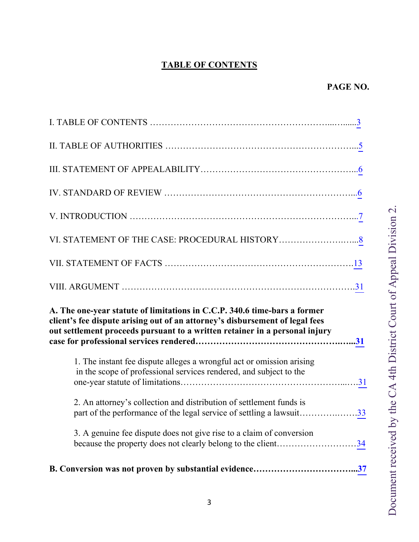# **TABLE OF CONTENTS**

<span id="page-2-0"></span>

| A. The one-year statute of limitations in C.C.P. 340.6 time-bars a former<br>client's fee dispute arising out of an attorney's disbursement of legal fees<br>out settlement proceeds pursuant to a written retainer in a personal injury |
|------------------------------------------------------------------------------------------------------------------------------------------------------------------------------------------------------------------------------------------|
| 1. The instant fee dispute alleges a wrongful act or omission arising<br>in the scope of professional services rendered, and subject to the                                                                                              |
| 2. An attorney's collection and distribution of settlement funds is<br>part of the performance of the legal service of settling a lawsuit33                                                                                              |
| 3. A genuine fee dispute does not give rise to a claim of conversion<br>because the property does not clearly belong to the client34                                                                                                     |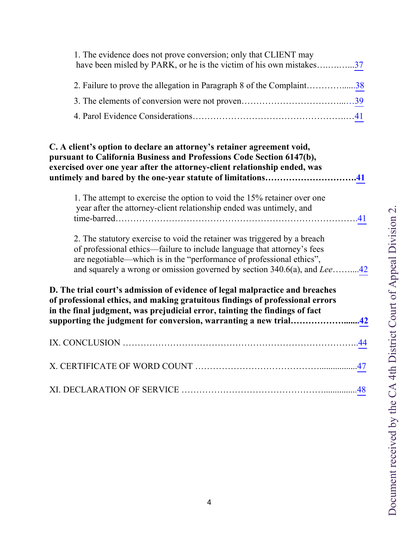| 1. The evidence does not prove conversion; only that CLIENT may<br>have been misled by PARK, or he is the victim of his own mistakes37 |  |
|----------------------------------------------------------------------------------------------------------------------------------------|--|
| 2. Failure to prove the allegation in Paragraph 8 of the Complaint38                                                                   |  |
|                                                                                                                                        |  |
|                                                                                                                                        |  |

| C. A client's option to declare an attorney's retainer agreement void,<br>pursuant to California Business and Professions Code Section 6147(b),<br>exercised over one year after the attorney-client relationship ended, was<br>untimely and bared by the one-year statute of limitations41                      |  |
|------------------------------------------------------------------------------------------------------------------------------------------------------------------------------------------------------------------------------------------------------------------------------------------------------------------|--|
| 1. The attempt to exercise the option to void the 15% retainer over one<br>year after the attorney-client relationship ended was untimely, and                                                                                                                                                                   |  |
| 2. The statutory exercise to void the retainer was triggered by a breach<br>of professional ethics—failure to include language that attorney's fees<br>are negotiable—which is in the "performance of professional ethics",<br>and squarely a wrong or omission governed by section 340.6(a), and Lee42          |  |
| D. The trial court's admission of evidence of legal malpractice and breaches<br>of professional ethics, and making gratuitous findings of professional errors<br>in the final judgment, was prejudicial error, tainting the findings of fact<br>supporting the judgment for conversion, warranting a new trial42 |  |
|                                                                                                                                                                                                                                                                                                                  |  |
|                                                                                                                                                                                                                                                                                                                  |  |
|                                                                                                                                                                                                                                                                                                                  |  |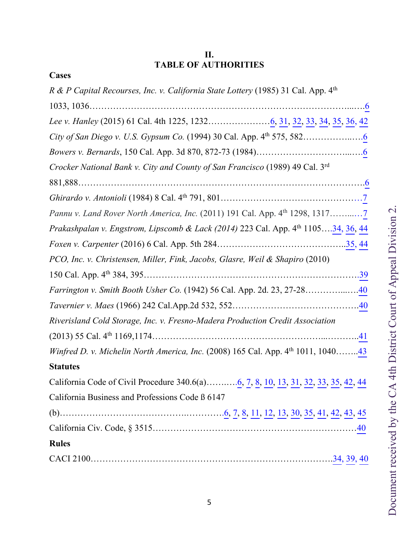# **II. TABLE OF AUTHORITIES**

<span id="page-4-0"></span>

| Cases                                                                                               |
|-----------------------------------------------------------------------------------------------------|
| R & P Capital Recourses, Inc. v. California State Lottery (1985) 31 Cal. App. 4 <sup>th</sup>       |
|                                                                                                     |
|                                                                                                     |
|                                                                                                     |
|                                                                                                     |
| Crocker National Bank v. City and County of San Francisco (1989) 49 Cal. 3rd                        |
|                                                                                                     |
|                                                                                                     |
| <i>Pannu v. Land Rover North America, Inc.</i> (2011) 191 Cal. App. 4 <sup>th</sup> 1298, 13177     |
| Prakashpalan v. Engstrom, Lipscomb & Lack (2014) 223 Cal. App. 4th 110534, 36, 44                   |
|                                                                                                     |
| PCO, Inc. v. Christensen, Miller, Fink, Jacobs, Glasre, Weil & Shapiro (2010)                       |
|                                                                                                     |
| Farrington v. Smith Booth Usher Co. (1942) 56 Cal. App. 2d. 23, 27-2840                             |
|                                                                                                     |
|                                                                                                     |
| Riverisland Cold Storage, Inc. v. Fresno-Madera Production Credit Association                       |
|                                                                                                     |
| <i>Winfred D. v. Michelin North America, Inc.</i> (2008) 165 Cal. App. $4^{\text{th}}$ 1011, 104043 |
| <b>Statutes</b>                                                                                     |
| California Code of Civil Procedure 340.6(a)6, 7, 8, 10, 13, 31, 32, 33, 35, 42, 44                  |
| California Business and Professions Code ß 6147                                                     |
|                                                                                                     |
|                                                                                                     |
| <b>Rules</b>                                                                                        |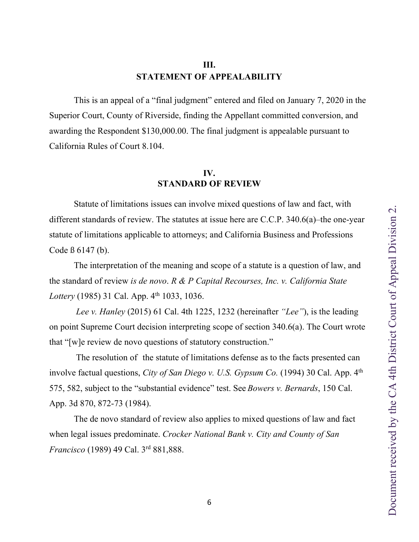# **III. STATEMENT OF APPEALABILITY**

<span id="page-5-0"></span>This is an appeal of a "final judgment" entered and filed on January 7, 2020 in the Superior Court, County of Riverside, finding the Appellant committed conversion, and awarding the Respondent \$130,000.00. The final judgment is appealable pursuant to California Rules of Court 8.104.

#### **IV. STANDARD OF REVIEW**

Statute of limitations issues can involve mixed questions of law and fact, with different standards of review. The statutes at issue here are C.C.P. 340.6(a)–the one-year statute of limitations applicable to attorneys; and California Business and Professions Code ß 6147 (b).

The interpretation of the meaning and scope of a statute is a question of law, and the standard of review *is de novo*. *R & P Capital Recourses, Inc. v. California State Lottery* (1985) 31 Cal. App. 4<sup>th</sup> 1033, 1036.

*Lee v. Hanley* (2015) 61 Cal. 4th 1225, 1232 (hereinafter *"Lee"*), is the leading on point Supreme Court decision interpreting scope of section 340.6(a). The Court wrote that "[w]e review de novo questions of statutory construction."

The resolution of the statute of limitations defense as to the facts presented can involve factual questions, *City of San Diego v. U.S. Gypsum Co.* (1994) 30 Cal. App. 4<sup>th</sup> 575, 582, subject to the "substantial evidence" test. See *Bowers v. Bernards*, 150 Cal. App. 3d 870, 872-73 (1984).

The de novo standard of review also applies to mixed questions of law and fact when legal issues predominate. *Crocker National Bank v. City and County of San Francisco* (1989) 49 Cal. 3rd 881,888.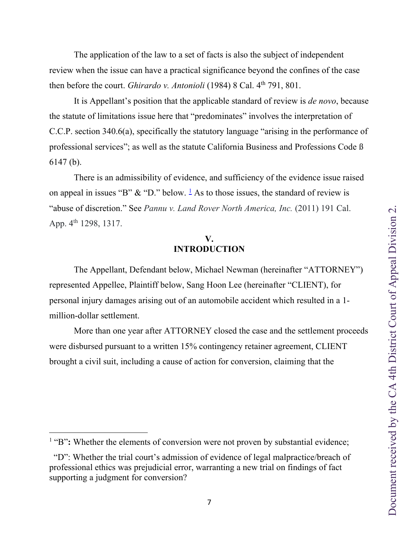<span id="page-6-0"></span> The application of the law to a set of facts is also the subject of independent review when the issue can have a practical significance beyond the confines of the case then before the court. *Ghirardo v. Antonioli* (1984) 8 Cal. 4<sup>th</sup> 791, 801.

 It is Appellant's position that the applicable standard of review is *de novo*, because the statute of limitations issue here that "predominates" involves the interpretation of C.C.P. section 340.6(a), specifically the statutory language "arising in the performance of professional services"; as well as the statute California Business and Professions Code ß 6147 (b).

 There is an admissibility of evidence, and sufficiency of the evidence issue raised on appeal in issues "B"  $\&$  "D." below. <sup>[1](#page-6-1)</sup> As to those issues, the standard of review is "abuse of discretion." See *Pannu v. Land Rover North America, Inc.* (2011) 191 Cal. App. 4<sup>th</sup> 1298, 1317.

# **V. INTRODUCTION**

 The Appellant, Defendant below, Michael Newman (hereinafter "ATTORNEY") represented Appellee, Plaintiff below, Sang Hoon Lee (hereinafter "CLIENT), for personal injury damages arising out of an automobile accident which resulted in a 1 million-dollar settlement.

 More than one year after ATTORNEY closed the case and the settlement proceeds were disbursed pursuant to a written 15% contingency retainer agreement, CLIENT brought a civil suit, including a cause of action for conversion, claiming that the

<span id="page-6-1"></span><sup>&</sup>lt;sup>1</sup> "B": Whether the elements of conversion were not proven by substantial evidence;

 <sup>&</sup>quot;D": Whether the trial court's admission of evidence of legal malpractice/breach of professional ethics was prejudicial error, warranting a new trial on findings of fact supporting a judgment for conversion?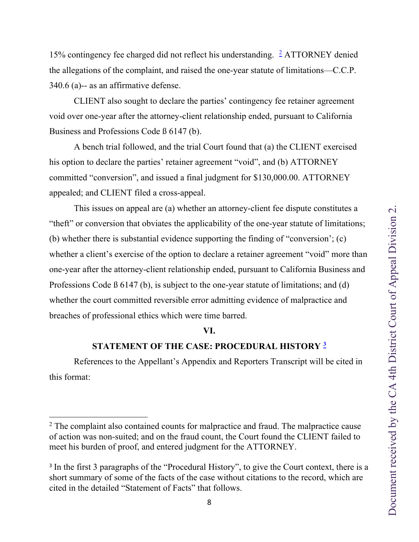<span id="page-7-0"></span>15% contingency fee charged did not reflect his understanding. [2](#page-7-1) ATTORNEY denied the allegations of the complaint, and raised the one-year statute of limitations—C.C.P. 340.6 (a)-- as an affirmative defense.

 CLIENT also sought to declare the parties' contingency fee retainer agreement void over one-year after the attorney-client relationship ended, pursuant to California Business and Professions Code ß 6147 (b).

 A bench trial followed, and the trial Court found that (a) the CLIENT exercised his option to declare the parties' retainer agreement "void", and (b) ATTORNEY committed "conversion", and issued a final judgment for \$130,000.00. ATTORNEY appealed; and CLIENT filed a cross-appeal.

 This issues on appeal are (a) whether an attorney-client fee dispute constitutes a "theft" or conversion that obviates the applicability of the one-year statute of limitations; (b) whether there is substantial evidence supporting the finding of "conversion'; (c) whether a client's exercise of the option to declare a retainer agreement "void" more than one-year after the attorney-client relationship ended, pursuant to California Business and Professions Code ß 6147 (b), is subject to the one-year statute of limitations; and (d) whether the court committed reversible error admitting evidence of malpractice and breaches of professional ethics which were time barred.

#### **VI.**

## **STATEMENT OF THE CASE: PROCEDURAL HISTORY [3](#page-7-2)**

 References to the Appellant's Appendix and Reporters Transcript will be cited in this format:

<span id="page-7-1"></span> $2$  The complaint also contained counts for malpractice and fraud. The malpractice cause of action was non-suited; and on the fraud count, the Court found the CLIENT failed to meet his burden of proof, and entered judgment for the ATTORNEY.

<span id="page-7-2"></span><sup>&</sup>lt;sup>3</sup> In the first 3 paragraphs of the "Procedural History", to give the Court context, there is a short summary of some of the facts of the case without citations to the record, which are cited in the detailed "Statement of Facts" that follows.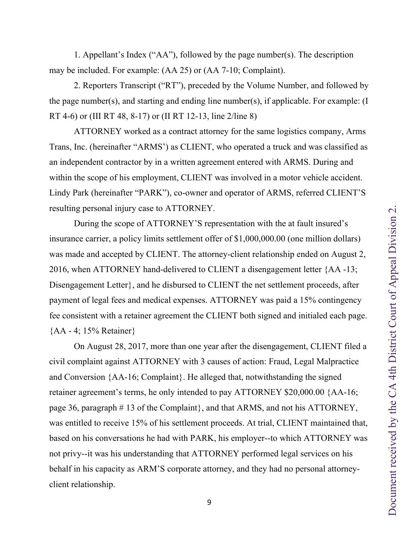1. Appellant's Index ("AA"), followed by the page number(s). The description may be included. For example: (AA 25) or (AA 7-10; Complaint).

2. Reporters Transcript ("RT"), preceded by the Volume Number, and followed by the page number(s), and starting and ending line number(s), if applicable. For example: (I RT 4-6) or (III RT 48, 8-17) or (II RT 12-13, line 2/line 8)

ATTORNEY worked as a contract attorney for the same logistics company, Arms Trans, Inc. (hereinafter "ARMS') as CLIENT, who operated a truck and was classified as an independent contractor by in a written agreement entered with ARMS. During and within the scope of his employment, CLIENT was involved in a motor vehicle accident. Lindy Park (hereinafter "PARK"), co-owner and operator of ARMS, referred CLIENT'S resulting personal injury case to ATTORNEY.

During the scope of ATTORNEY'S representation with the at fault insured's insurance carrier, a policy limits settlement offer of \$1,000,000.00 (one million dollars) was made and accepted by CLIENT. The attorney-client relationship ended on August 2, 2016, when ATTORNEY hand-delivered to CLIENT a disengagement letter {AA -13; Disengagement Letter}, and he disbursed to CLIENT the net settlement proceeds, after payment of legal fees and medical expenses. ATTORNEY was paid a 15% contingency fee consistent with a retainer agreement the CLIENT both signed and initialed each page. {AA - 4; 15% Retainer}

On August 28, 2017, more than one year after the disengagement, CLIENT filed a civil complaint against ATTORNEY with 3 causes of action: Fraud, Legal Malpractice and Conversion {AA-16; Complaint}. He alleged that, notwithstanding the signed retainer agreement's terms, he only intended to pay ATTORNEY \$20,000.00 {AA-16; page 36, paragraph # 13 of the Complaint}, and that ARMS, and not his ATTORNEY, was entitled to receive 15% of his settlement proceeds. At trial, CLIENT maintained that, based on his conversations he had with PARK, his employer--to which ATTORNEY was not privy--it was his understanding that ATTORNEY performed legal services on his behalf in his capacity as ARM'S corporate attorney, and they had no personal attorneyclient relationship.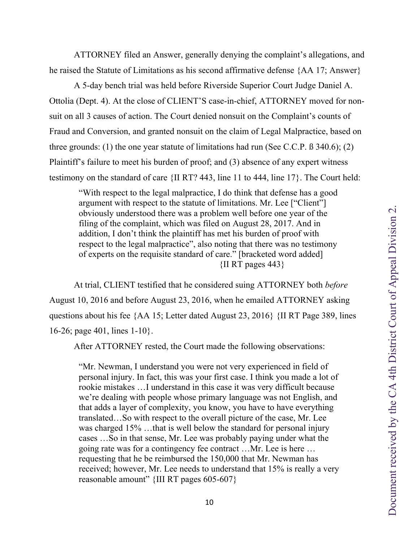<span id="page-9-0"></span>ATTORNEY filed an Answer, generally denying the complaint's allegations, and he raised the Statute of Limitations as his second affirmative defense {AA 17; Answer}

A 5-day bench trial was held before Riverside Superior Court Judge Daniel A. Ottolia (Dept. 4). At the close of CLIENT'S case-in-chief, ATTORNEY moved for nonsuit on all 3 causes of action. The Court denied nonsuit on the Complaint's counts of Fraud and Conversion, and granted nonsuit on the claim of Legal Malpractice, based on three grounds: (1) the one year statute of limitations had run (See C.C.P. ß 340.6); (2) Plaintiff's failure to meet his burden of proof; and (3) absence of any expert witness testimony on the standard of care {II RT? 443, line 11 to 444, line 17}. The Court held:

"With respect to the legal malpractice, I do think that defense has a good argument with respect to the statute of limitations. Mr. Lee ["Client"] obviously understood there was a problem well before one year of the filing of the complaint, which was filed on August 28, 2017. And in addition, I don't think the plaintiff has met his burden of proof with respect to the legal malpractice", also noting that there was no testimony of experts on the requisite standard of care." [bracketed word added]  $\{$ II RT pages 443 $\}$ 

At trial, CLIENT testified that he considered suing ATTORNEY both *before*  August 10, 2016 and before August 23, 2016, when he emailed ATTORNEY asking questions about his fee {AA 15; Letter dated August 23, 2016} {II RT Page 389, lines 16-26; page 401, lines 1-10}.

After ATTORNEY rested, the Court made the following observations:

"Mr. Newman, I understand you were not very experienced in field of personal injury. In fact, this was your first case. I think you made a lot of rookie mistakes …I understand in this case it was very difficult because we're dealing with people whose primary language was not English, and that adds a layer of complexity, you know, you have to have everything translated…So with respect to the overall picture of the case, Mr. Lee was charged 15% ...that is well below the standard for personal injury cases …So in that sense, Mr. Lee was probably paying under what the going rate was for a contingency fee contract …Mr. Lee is here … requesting that he be reimbursed the 150,000 that Mr. Newman has received; however, Mr. Lee needs to understand that 15% is really a very reasonable amount" {III RT pages 605-607}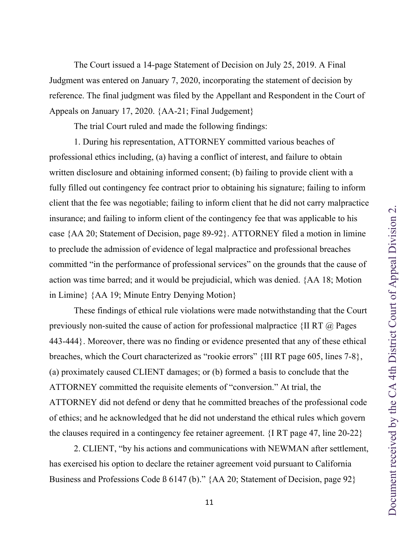<span id="page-10-0"></span>The Court issued a 14-page Statement of Decision on July 25, 2019. A Final Judgment was entered on January 7, 2020, incorporating the statement of decision by reference. The final judgment was filed by the Appellant and Respondent in the Court of Appeals on January 17, 2020. {AA-21; Final Judgement}

The trial Court ruled and made the following findings:

1. During his representation, ATTORNEY committed various beaches of professional ethics including, (a) having a conflict of interest, and failure to obtain written disclosure and obtaining informed consent; (b) failing to provide client with a fully filled out contingency fee contract prior to obtaining his signature; failing to inform client that the fee was negotiable; failing to inform client that he did not carry malpractice insurance; and failing to inform client of the contingency fee that was applicable to his case {AA 20; Statement of Decision, page 89-92}. ATTORNEY filed a motion in limine to preclude the admission of evidence of legal malpractice and professional breaches committed "in the performance of professional services" on the grounds that the cause of action was time barred; and it would be prejudicial, which was denied. {AA 18; Motion in Limine} {AA 19; Minute Entry Denying Motion}

These findings of ethical rule violations were made notwithstanding that the Court previously non-suited the cause of action for professional malpractice  $\{II RT \ @\ Pages$ 443-444}. Moreover, there was no finding or evidence presented that any of these ethical breaches, which the Court characterized as "rookie errors" {III RT page 605, lines 7-8}, (a) proximately caused CLIENT damages; or (b) formed a basis to conclude that the ATTORNEY committed the requisite elements of "conversion." At trial, the ATTORNEY did not defend or deny that he committed breaches of the professional code of ethics; and he acknowledged that he did not understand the ethical rules which govern the clauses required in a contingency fee retainer agreement. {I RT page 47, line 20-22}

2. CLIENT, "by his actions and communications with NEWMAN after settlement, has exercised his option to declare the retainer agreement void pursuant to California Business and Professions Code B 6147 (b)." {AA 20; Statement of Decision, page 92}

11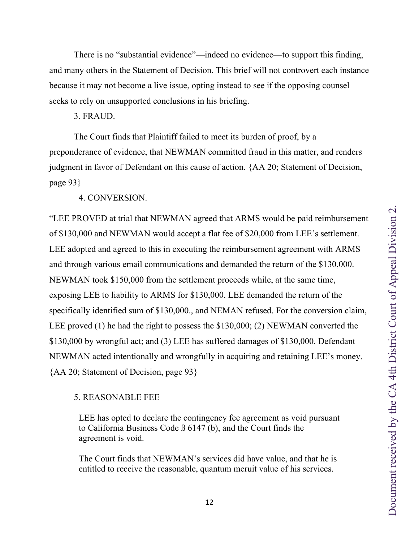<span id="page-11-0"></span>There is no "substantial evidence"—indeed no evidence—to support this finding, and many others in the Statement of Decision. This brief will not controvert each instance because it may not become a live issue, opting instead to see if the opposing counsel seeks to rely on unsupported conclusions in his briefing.

3. FRAUD.

The Court finds that Plaintiff failed to meet its burden of proof, by a preponderance of evidence, that NEWMAN committed fraud in this matter, and renders judgment in favor of Defendant on this cause of action. {AA 20; Statement of Decision, page 93}

4. CONVERSION.

"LEE PROVED at trial that NEWMAN agreed that ARMS would be paid reimbursement of \$130,000 and NEWMAN would accept a flat fee of \$20,000 from LEE's settlement. LEE adopted and agreed to this in executing the reimbursement agreement with ARMS and through various email communications and demanded the return of the \$130,000. NEWMAN took \$150,000 from the settlement proceeds while, at the same time, exposing LEE to liability to ARMS for \$130,000. LEE demanded the return of the specifically identified sum of \$130,000., and NEMAN refused. For the conversion claim, LEE proved (1) he had the right to possess the \$130,000; (2) NEWMAN converted the \$130,000 by wrongful act; and (3) LEE has suffered damages of \$130,000. Defendant NEWMAN acted intentionally and wrongfully in acquiring and retaining LEE's money. {AA 20; Statement of Decision, page 93}

#### 5. REASONABLE FEE

LEE has opted to declare the contingency fee agreement as void pursuant to California Business Code ß 6147 (b), and the Court finds the agreement is void.

The Court finds that NEWMAN's services did have value, and that he is entitled to receive the reasonable, quantum meruit value of his services.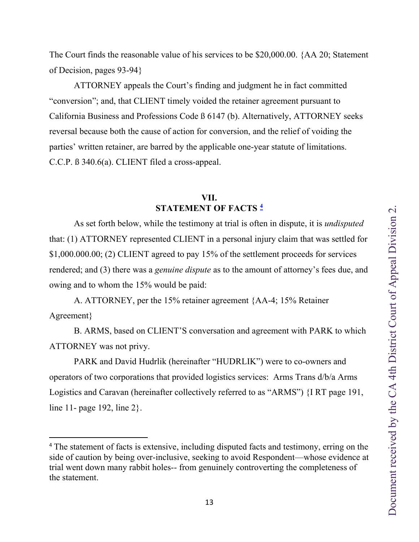<span id="page-12-0"></span>The Court finds the reasonable value of his services to be \$20,000.00. {AA 20; Statement of Decision, pages 93-94}

 ATTORNEY appeals the Court's finding and judgment he in fact committed "conversion"; and, that CLIENT timely voided the retainer agreement pursuant to California Business and Professions Code ß 6147 (b). Alternatively, ATTORNEY seeks reversal because both the cause of action for conversion, and the relief of voiding the parties' written retainer, are barred by the applicable one-year statute of limitations. C.C.P. ß 340.6(a). CLIENT filed a cross-appeal.

## **VII. STATEMENT OF FACTS [4](#page-12-1)**

 As set forth below, while the testimony at trial is often in dispute, it is *undisputed* that: (1) ATTORNEY represented CLIENT in a personal injury claim that was settled for \$1,000.000.00; (2) CLIENT agreed to pay 15% of the settlement proceeds for services rendered; and (3) there was a *genuine dispute* as to the amount of attorney's fees due, and owing and to whom the 15% would be paid:

 A. ATTORNEY, per the 15% retainer agreement {AA-4; 15% Retainer Agreement}

 B. ARMS, based on CLIENT'S conversation and agreement with PARK to which ATTORNEY was not privy.

 PARK and David Hudrlik (hereinafter "HUDRLIK") were to co-owners and operators of two corporations that provided logistics services: Arms Trans d/b/a Arms Logistics and Caravan (hereinafter collectively referred to as "ARMS") {I RT page 191, line 11- page 192, line 2}.

<span id="page-12-1"></span><sup>&</sup>lt;sup>4</sup> The statement of facts is extensive, including disputed facts and testimony, erring on the side of caution by being over-inclusive, seeking to avoid Respondent—whose evidence at trial went down many rabbit holes-- from genuinely controverting the completeness of the statement.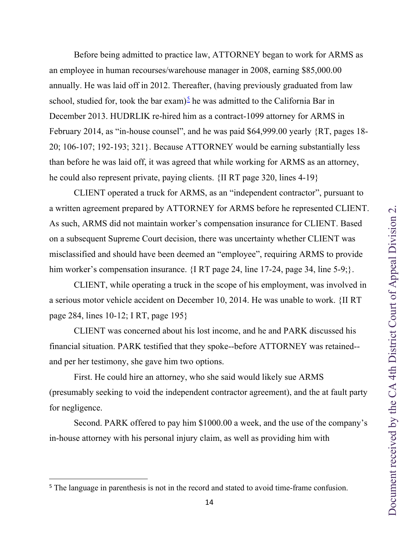Before being admitted to practice law, ATTORNEY began to work for ARMS as an employee in human recourses/warehouse manager in 2008, earning \$85,000.00 annually. He was laid off in 2012. Thereafter, (having previously graduated from law school, studied for, took the bar exam)<sup>[5](#page-13-0)</sup> he was admitted to the California Bar in December 2013. HUDRLIK re-hired him as a contract-1099 attorney for ARMS in February 2014, as "in-house counsel", and he was paid \$64,999.00 yearly {RT, pages 18- 20; 106-107; 192-193; 321}. Because ATTORNEY would be earning substantially less than before he was laid off, it was agreed that while working for ARMS as an attorney, he could also represent private, paying clients. {II RT page 320, lines 4-19}

 CLIENT operated a truck for ARMS, as an "independent contractor", pursuant to a written agreement prepared by ATTORNEY for ARMS before he represented CLIENT. As such, ARMS did not maintain worker's compensation insurance for CLIENT. Based on a subsequent Supreme Court decision, there was uncertainty whether CLIENT was misclassified and should have been deemed an "employee", requiring ARMS to provide him worker's compensation insurance. {I RT page 24, line 17-24, page 34, line 5-9;}.

 CLIENT, while operating a truck in the scope of his employment, was involved in a serious motor vehicle accident on December 10, 2014. He was unable to work. {II RT page 284, lines 10-12; I RT, page 195}

 CLIENT was concerned about his lost income, and he and PARK discussed his financial situation. PARK testified that they spoke--before ATTORNEY was retained- and per her testimony, she gave him two options.

 First. He could hire an attorney, who she said would likely sue ARMS (presumably seeking to void the independent contractor agreement), and the at fault party for negligence.

 Second. PARK offered to pay him \$1000.00 a week, and the use of the company's in-house attorney with his personal injury claim, as well as providing him with

<span id="page-13-0"></span><sup>&</sup>lt;sup>5</sup> The language in parenthesis is not in the record and stated to avoid time-frame confusion.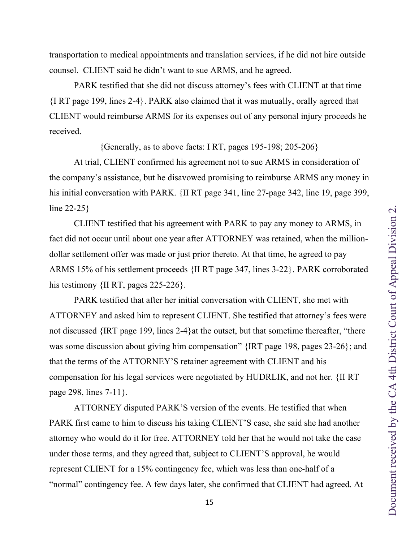transportation to medical appointments and translation services, if he did not hire outside counsel. CLIENT said he didn't want to sue ARMS, and he agreed.

PARK testified that she did not discuss attorney's fees with CLIENT at that time {I RT page 199, lines 2-4}. PARK also claimed that it was mutually, orally agreed that CLIENT would reimburse ARMS for its expenses out of any personal injury proceeds he received.

{Generally, as to above facts: I RT, pages 195-198; 205-206}

At trial, CLIENT confirmed his agreement not to sue ARMS in consideration of the company's assistance, but he disavowed promising to reimburse ARMS any money in his initial conversation with PARK. {II RT page 341, line 27-page 342, line 19, page 399, line 22-25}

CLIENT testified that his agreement with PARK to pay any money to ARMS, in fact did not occur until about one year after ATTORNEY was retained, when the milliondollar settlement offer was made or just prior thereto. At that time, he agreed to pay ARMS 15% of his settlement proceeds {II RT page 347, lines 3-22}. PARK corroborated his testimony {II RT, pages 225-226}.

PARK testified that after her initial conversation with CLIENT, she met with ATTORNEY and asked him to represent CLIENT. She testified that attorney's fees were not discussed {IRT page 199, lines 2-4}at the outset, but that sometime thereafter, "there was some discussion about giving him compensation" {IRT page 198, pages 23-26}; and that the terms of the ATTORNEY'S retainer agreement with CLIENT and his compensation for his legal services were negotiated by HUDRLIK, and not her. {II RT page 298, lines 7-11}.

ATTORNEY disputed PARK'S version of the events. He testified that when PARK first came to him to discuss his taking CLIENT'S case, she said she had another attorney who would do it for free. ATTORNEY told her that he would not take the case under those terms, and they agreed that, subject to CLIENT'S approval, he would represent CLIENT for a 15% contingency fee, which was less than one-half of a "normal" contingency fee. A few days later, she confirmed that CLIENT had agreed. At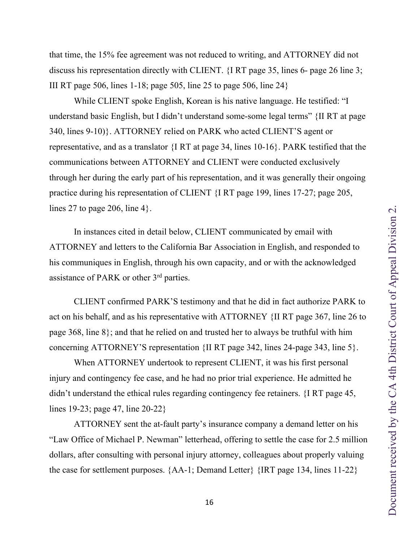that time, the 15% fee agreement was not reduced to writing, and ATTORNEY did not discuss his representation directly with CLIENT. {I RT page 35, lines 6- page 26 line 3; III RT page 506, lines 1-18; page 505, line 25 to page 506, line 24}

While CLIENT spoke English, Korean is his native language. He testified: "I understand basic English, but I didn't understand some-some legal terms" {II RT at page 340, lines 9-10)}. ATTORNEY relied on PARK who acted CLIENT'S agent or representative, and as a translator {I RT at page 34, lines 10-16}. PARK testified that the communications between ATTORNEY and CLIENT were conducted exclusively through her during the early part of his representation, and it was generally their ongoing practice during his representation of CLIENT {I RT page 199, lines 17-27; page 205, lines 27 to page 206, line  $4$ .

In instances cited in detail below, CLIENT communicated by email with ATTORNEY and letters to the California Bar Association in English, and responded to his communiques in English, through his own capacity, and or with the acknowledged assistance of PARK or other 3rd parties.

CLIENT confirmed PARK'S testimony and that he did in fact authorize PARK to act on his behalf, and as his representative with ATTORNEY {II RT page 367, line 26 to page 368, line 8}; and that he relied on and trusted her to always be truthful with him concerning ATTORNEY'S representation {II RT page 342, lines 24-page 343, line 5}.

When ATTORNEY undertook to represent CLIENT, it was his first personal injury and contingency fee case, and he had no prior trial experience. He admitted he didn't understand the ethical rules regarding contingency fee retainers. {I RT page 45, lines 19-23; page 47, line 20-22}

ATTORNEY sent the at-fault party's insurance company a demand letter on his "Law Office of Michael P. Newman" letterhead, offering to settle the case for 2.5 million dollars, after consulting with personal injury attorney, colleagues about properly valuing the case for settlement purposes. {AA-1; Demand Letter} {IRT page 134, lines 11-22}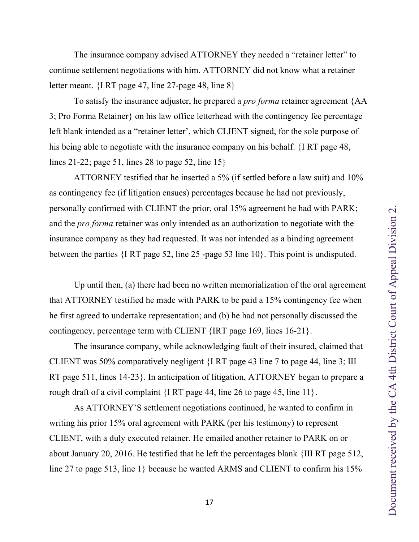The insurance company advised ATTORNEY they needed a "retainer letter" to continue settlement negotiations with him. ATTORNEY did not know what a retainer letter meant. {I RT page 47, line 27-page 48, line 8}

To satisfy the insurance adjuster, he prepared a *pro forma* retainer agreement {AA 3; Pro Forma Retainer} on his law office letterhead with the contingency fee percentage left blank intended as a "retainer letter', which CLIENT signed, for the sole purpose of his being able to negotiate with the insurance company on his behalf. {I RT page 48, lines 21-22; page 51, lines 28 to page 52, line 15}

ATTORNEY testified that he inserted a 5% (if settled before a law suit) and 10% as contingency fee (if litigation ensues) percentages because he had not previously, personally confirmed with CLIENT the prior, oral 15% agreement he had with PARK; and the *pro forma* retainer was only intended as an authorization to negotiate with the insurance company as they had requested. It was not intended as a binding agreement between the parties {I RT page 52, line 25 -page 53 line 10}. This point is undisputed.

Up until then, (a) there had been no written memorialization of the oral agreement that ATTORNEY testified he made with PARK to be paid a 15% contingency fee when he first agreed to undertake representation; and (b) he had not personally discussed the contingency, percentage term with CLIENT {IRT page 169, lines 16-21}.

The insurance company, while acknowledging fault of their insured, claimed that CLIENT was 50% comparatively negligent {I RT page 43 line 7 to page 44, line 3; III RT page 511, lines 14-23}. In anticipation of litigation, ATTORNEY began to prepare a rough draft of a civil complaint {I RT page 44, line 26 to page 45, line 11}.

As ATTORNEY'S settlement negotiations continued, he wanted to confirm in writing his prior 15% oral agreement with PARK (per his testimony) to represent CLIENT, with a duly executed retainer. He emailed another retainer to PARK on or about January 20, 2016. He testified that he left the percentages blank {III RT page 512, line 27 to page 513, line 1} because he wanted ARMS and CLIENT to confirm his 15%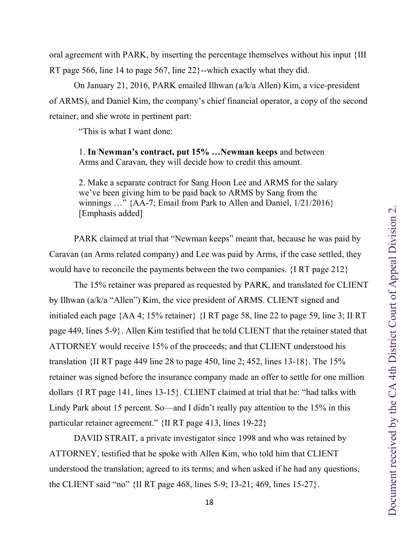oral agreement with PARK, by inserting the percentage themselves without his input {III RT page 566, line 14 to page 567, line 22}--which exactly what they did.

On January 21, 2016, PARK emailed Ilhwan (a/k/a Allen) Kim, a vice-president of ARMS), and Daniel Kim, the company's chief financial operator, a copy of the second retainer, and she wrote in pertinent part:

"This is what I want done:

1. **In Newman's contract, put 15% …Newman keeps** and between Arms and Caravan, they will decide how to credit this amount.

2. Make a separate contract for Sang Hoon Lee and ARMS for the salary we've been giving him to be paid back to ARMS by Sang from the winnings ..." {AA-7; Email from Park to Allen and Daniel,  $1/21/2016$ } [Emphasis added]

PARK claimed at trial that "Newman keeps" meant that, because he was paid by Caravan (an Arms related company) and Lee was paid by Arms, if the case settled, they would have to reconcile the payments between the two companies. {I RT page 212}

The 15% retainer was prepared as requested by PARK, and translated for CLIENT by Ilhwan (a/k/a "Allen") Kim, the vice president of ARMS. CLIENT signed and initialed each page {AA 4; 15% retainer} {I RT page 58, line 22 to page 59, line 3; II RT page 449, lines 5-9}. Allen Kim testified that he told CLIENT that the retainer stated that ATTORNEY would receive 15% of the proceeds; and that CLIENT understood his translation {II RT page 449 line 28 to page 450, line 2; 452, lines 13-18}. The 15% retainer was signed before the insurance company made an offer to settle for one million dollars {I RT page 141, lines 13-15}. CLIENT claimed at trial that he: "had talks with Lindy Park about 15 percent. So—and I didn't really pay attention to the 15% in this particular retainer agreement." {II RT page 413, lines 19-22}

DAVID STRAIT, a private investigator since 1998 and who was retained by ATTORNEY, testified that he spoke with Allen Kim, who told him that CLIENT understood the translation; agreed to its terms; and when asked if he had any questions, the CLIENT said "no" {II RT page 468, lines 5-9; 13-21; 469, lines 15-27}.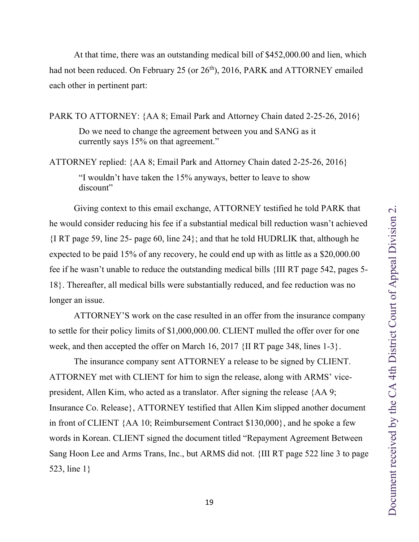At that time, there was an outstanding medical bill of \$452,000.00 and lien, which had not been reduced. On February 25 (or 26<sup>th</sup>), 2016, PARK and ATTORNEY emailed each other in pertinent part:

PARK TO ATTORNEY: {AA 8; Email Park and Attorney Chain dated 2-25-26, 2016}

Do we need to change the agreement between you and SANG as it currently says 15% on that agreement."

ATTORNEY replied: {AA 8; Email Park and Attorney Chain dated 2-25-26, 2016} "I wouldn't have taken the 15% anyways, better to leave to show discount"

Giving context to this email exchange, ATTORNEY testified he told PARK that he would consider reducing his fee if a substantial medical bill reduction wasn't achieved {I RT page 59, line 25- page 60, line 24}; and that he told HUDRLIK that, although he expected to be paid 15% of any recovery, he could end up with as little as a \$20,000.00 fee if he wasn't unable to reduce the outstanding medical bills {III RT page 542, pages 5- 18}. Thereafter, all medical bills were substantially reduced, and fee reduction was no longer an issue.

ATTORNEY'S work on the case resulted in an offer from the insurance company to settle for their policy limits of \$1,000,000.00. CLIENT mulled the offer over for one week, and then accepted the offer on March 16, 2017 {II RT page 348, lines 1-3}.

The insurance company sent ATTORNEY a release to be signed by CLIENT. ATTORNEY met with CLIENT for him to sign the release, along with ARMS' vicepresident, Allen Kim, who acted as a translator. After signing the release {AA 9; Insurance Co. Release}, ATTORNEY testified that Allen Kim slipped another document in front of CLIENT {AA 10; Reimbursement Contract \$130,000}, and he spoke a few words in Korean. CLIENT signed the document titled "Repayment Agreement Between Sang Hoon Lee and Arms Trans, Inc., but ARMS did not. {III RT page 522 line 3 to page 523, line 1}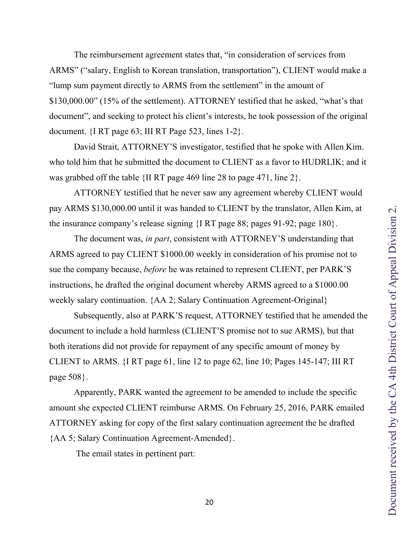ARMS" ("salary, English to Korean translation, transportation"), CLIENT would make a "lump sum payment directly to ARMS from the settlement" in the amount of \$130,000.00" (15% of the settlement). ATTORNEY testified that he asked, "what's that document", and seeking to protect his client's interests, he took possession of the original document.  $\{I \right| RT$  page 63; III RT Page 523, lines 1-2 $\}$ . David Strait, ATTORNEY'S investigator, testified that he spoke with Allen Kim. who told him that he submitted the document to CLIENT as a favor to HUDRLIK; and it was grabbed off the table {II RT page 469 line 28 to page 471, line 2}.

ATTORNEY testified that he never saw any agreement whereby CLIENT would pay ARMS \$130,000.00 until it was handed to CLIENT by the translator, Allen Kim, at the insurance company's release signing {I RT page 88; pages 91-92; page 180}.

The reimbursement agreement states that, "in consideration of services from

The document was, *in part*, consistent with ATTORNEY'S understanding that ARMS agreed to pay CLIENT \$1000.00 weekly in consideration of his promise not to sue the company because, *before* he was retained to represent CLIENT, per PARK'S instructions, he drafted the original document whereby ARMS agreed to a \$1000.00 weekly salary continuation. {AA 2; Salary Continuation Agreement-Original}

Subsequently, also at PARK'S request, ATTORNEY testified that he amended the document to include a hold harmless (CLIENT'S promise not to sue ARMS), but that both iterations did not provide for repayment of any specific amount of money by CLIENT to ARMS. {I RT page 61, line 12 to page 62, line 10; Pages 145-147; III RT page 508}.

Apparently, PARK wanted the agreement to be amended to include the specific amount she expected CLIENT reimburse ARMS. On February 25, 2016, PARK emailed ATTORNEY asking for copy of the first salary continuation agreement the he drafted {AA 5; Salary Continuation Agreement-Amended}.

The email states in pertinent part:

20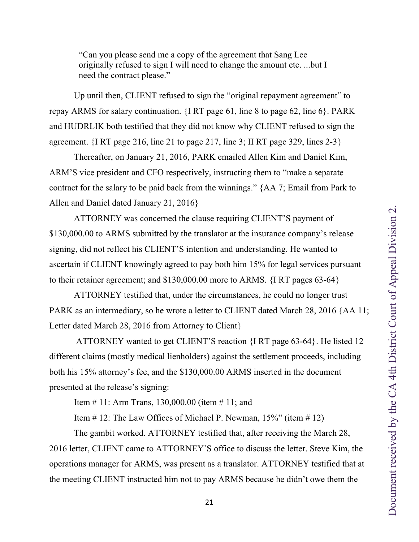"Can you please send me a copy of the agreement that Sang Lee originally refused to sign I will need to change the amount etc. ...but I need the contract please."

Up until then, CLIENT refused to sign the "original repayment agreement" to repay ARMS for salary continuation. {I RT page 61, line 8 to page 62, line 6}. PARK and HUDRLIK both testified that they did not know why CLIENT refused to sign the agreement. {I RT page 216, line 21 to page 217, line 3; II RT page 329, lines 2-3}

Thereafter, on January 21, 2016, PARK emailed Allen Kim and Daniel Kim, ARM'S vice president and CFO respectively, instructing them to "make a separate contract for the salary to be paid back from the winnings." {AA 7; Email from Park to Allen and Daniel dated January 21, 2016}

ATTORNEY was concerned the clause requiring CLIENT'S payment of \$130,000.00 to ARMS submitted by the translator at the insurance company's release signing, did not reflect his CLIENT'S intention and understanding. He wanted to ascertain if CLIENT knowingly agreed to pay both him 15% for legal services pursuant to their retainer agreement; and \$130,000.00 more to ARMS. {I RT pages 63-64}

ATTORNEY testified that, under the circumstances, he could no longer trust PARK as an intermediary, so he wrote a letter to CLIENT dated March 28, 2016 {AA 11; Letter dated March 28, 2016 from Attorney to Client}

ATTORNEY wanted to get CLIENT'S reaction {I RT page 63-64}. He listed 12 different claims (mostly medical lienholders) against the settlement proceeds, including both his 15% attorney's fee, and the \$130,000.00 ARMS inserted in the document presented at the release's signing:

Item # 11: Arm Trans, 130,000.00 (item # 11; and

Item  $\#$  12: The Law Offices of Michael P. Newman, 15%" (item  $\#$  12)

The gambit worked. ATTORNEY testified that, after receiving the March 28, 2016 letter, CLIENT came to ATTORNEY'S office to discuss the letter. Steve Kim, the operations manager for ARMS, was present as a translator. ATTORNEY testified that at the meeting CLIENT instructed him not to pay ARMS because he didn't owe them the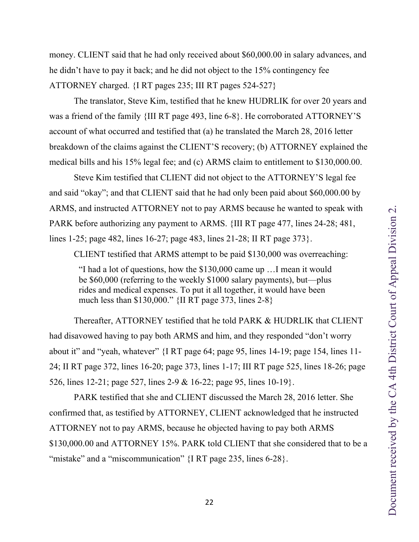money. CLIENT said that he had only received about \$60,000.00 in salary advances, and he didn't have to pay it back; and he did not object to the 15% contingency fee ATTORNEY charged. {I RT pages 235; III RT pages 524-527}

The translator, Steve Kim, testified that he knew HUDRLIK for over 20 years and was a friend of the family {III RT page 493, line 6-8}. He corroborated ATTORNEY'S account of what occurred and testified that (a) he translated the March 28, 2016 letter breakdown of the claims against the CLIENT'S recovery; (b) ATTORNEY explained the medical bills and his 15% legal fee; and (c) ARMS claim to entitlement to \$130,000.00.

Steve Kim testified that CLIENT did not object to the ATTORNEY'S legal fee and said "okay"; and that CLIENT said that he had only been paid about \$60,000.00 by ARMS, and instructed ATTORNEY not to pay ARMS because he wanted to speak with PARK before authorizing any payment to ARMS. {III RT page 477, lines 24-28; 481, lines 1-25; page 482, lines 16-27; page 483, lines 21-28; II RT page 373}.

CLIENT testified that ARMS attempt to be paid \$130,000 was overreaching:

"I had a lot of questions, how the \$130,000 came up …I mean it would be \$60,000 (referring to the weekly \$1000 salary payments), but—plus rides and medical expenses. To put it all together, it would have been much less than \$130,000." {II RT page 373, lines 2-8}

Thereafter, ATTORNEY testified that he told PARK & HUDRLIK that CLIENT had disavowed having to pay both ARMS and him, and they responded "don't worry about it" and "yeah, whatever" {I RT page 64; page 95, lines 14-19; page 154, lines 11- 24; II RT page 372, lines 16-20; page 373, lines 1-17; III RT page 525, lines 18-26; page 526, lines 12-21; page 527, lines 2-9 & 16-22; page 95, lines 10-19}.

PARK testified that she and CLIENT discussed the March 28, 2016 letter. She confirmed that, as testified by ATTORNEY, CLIENT acknowledged that he instructed ATTORNEY not to pay ARMS, because he objected having to pay both ARMS \$130,000.00 and ATTORNEY 15%. PARK told CLIENT that she considered that to be a "mistake" and a "miscommunication" {I RT page 235, lines 6-28}.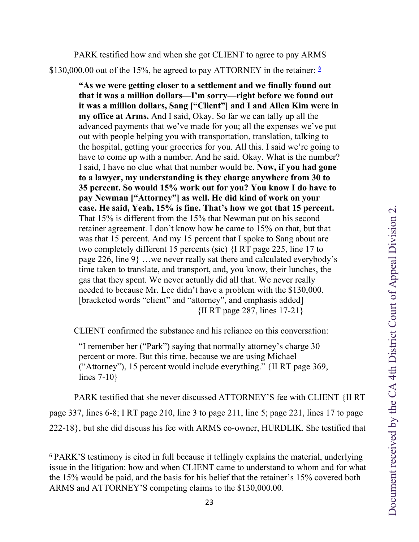PARK testified how and when she got CLIENT to agree to pay ARMS \$130,000.00 out of the 15%, he agreed to pay ATTORNEY in the retainer:  $\frac{6}{1}$  $\frac{6}{1}$  $\frac{6}{1}$ 

> **"As we were getting closer to a settlement and we finally found out that it was a million dollars—I'm sorry—right before we found out it was a million dollars, Sang ["Client"] and I and Allen Kim were in my office at Arms.** And I said, Okay. So far we can tally up all the advanced payments that we've made for you; all the expenses we've put out with people helping you with transportation, translation, talking to the hospital, getting your groceries for you. All this. I said we're going to have to come up with a number. And he said. Okay. What is the number? I said, I have no clue what that number would be. **Now, if you had gone to a lawyer, my understanding is they charge anywhere from 30 to 35 percent. So would 15% work out for you? You know I do have to pay Newman ["Attorney"] as well. He did kind of work on your case. He said, Yeah, 15% is fine. That's how we got that 15 percent.**  That 15% is different from the 15% that Newman put on his second retainer agreement. I don't know how he came to 15% on that, but that was that 15 percent. And my 15 percent that I spoke to Sang about are two completely different 15 percents (sic) {I RT page 225, line 17 to page 226, line 9} …we never really sat there and calculated everybody's time taken to translate, and transport, and, you know, their lunches, the gas that they spent. We never actually did all that. We never really needed to because Mr. Lee didn't have a problem with the \$130,000. [bracketed words "client" and "attorney", and emphasis added] {II RT page 287, lines 17-21}

CLIENT confirmed the substance and his reliance on this conversation:

"I remember her ("Park") saying that normally attorney's charge 30 percent or more. But this time, because we are using Michael ("Attorney"), 15 percent would include everything." {II RT page 369, lines 7-10}

 PARK testified that she never discussed ATTORNEY'S fee with CLIENT {II RT page 337, lines 6-8; I RT page 210, line 3 to page 211, line 5; page 221, lines 17 to page 222-18}, but she did discuss his fee with ARMS co-owner, HURDLIK. She testified that

<span id="page-22-0"></span><sup>6</sup> PARK'S testimony is cited in full because it tellingly explains the material, underlying issue in the litigation: how and when CLIENT came to understand to whom and for what the 15% would be paid, and the basis for his belief that the retainer's 15% covered both ARMS and ATTORNEY'S competing claims to the \$130,000.00.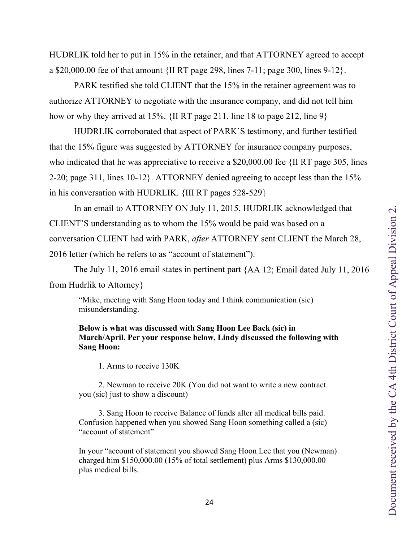HUDRLIK told her to put in 15% in the retainer, and that ATTORNEY agreed to accept a \$20,000.00 fee of that amount {II RT page 298, lines 7-11; page 300, lines 9-12}.

PARK testified she told CLIENT that the 15% in the retainer agreement was to authorize ATTORNEY to negotiate with the insurance company, and did not tell him how or why they arrived at 15%. {II RT page 211, line 18 to page 212, line 9}

HUDRLIK corroborated that aspect of PARK'S testimony, and further testified that the 15% figure was suggested by ATTORNEY for insurance company purposes, who indicated that he was appreciative to receive a \$20,000.00 fee  $\{$ II RT page 305, lines 2-20; page 311, lines 10-12}. ATTORNEY denied agreeing to accept less than the 15% in his conversation with HUDRLIK. {III RT pages 528-529}

In an email to ATTORNEY ON July 11, 2015, HUDRLIK acknowledged that CLIENT'S understanding as to whom the 15% would be paid was based on a conversation CLIENT had with PARK, *after* ATTORNEY sent CLIENT the March 28, 2016 letter (which he refers to as "account of statement").

The July 11, 2016 email states in pertinent part {AA 12; Email dated July 11, 2016 from Hudrlik to Attorney}

"Mike, meeting with Sang Hoon today and I think communication (sic) misunderstanding.

### **Below is what was discussed with Sang Hoon Lee Back (sic) in March/April. Per your response below, Lindy discussed the following with Sang Hoon:**

1. Arms to receive 130K

2. Newman to receive 20K (You did not want to write a new contract. you (sic) just to show a discount)

3. Sang Hoon to receive Balance of funds after all medical bills paid. Confusion happened when you showed Sang Hoon something called a (sic) "account of statement"

In your "account of statement you showed Sang Hoon Lee that you (Newman) charged him \$150,000.00 (15% of total settlement) plus Arms \$130,000.00 plus medical bills.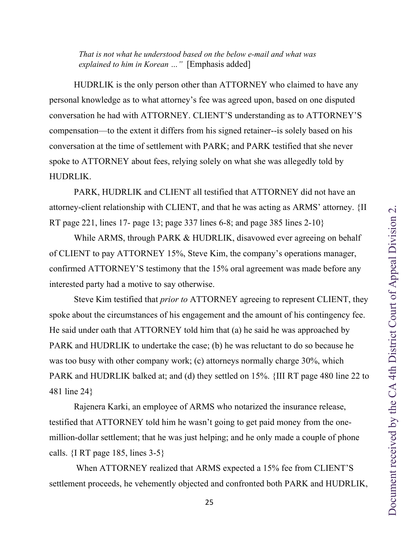HUDRLIK is the only person other than ATTORNEY who claimed to have any personal knowledge as to what attorney's fee was agreed upon, based on one disputed conversation he had with ATTORNEY. CLIENT'S understanding as to ATTORNEY'S compensation—to the extent it differs from his signed retainer--is solely based on his conversation at the time of settlement with PARK; and PARK testified that she never spoke to ATTORNEY about fees, relying solely on what she was allegedly told by HUDRLIK.

PARK, HUDRLIK and CLIENT all testified that ATTORNEY did not have an attorney-client relationship with CLIENT, and that he was acting as ARMS' attorney. {II RT page 221, lines 17- page 13; page 337 lines 6-8; and page 385 lines 2-10}

While ARMS, through PARK & HUDRLIK, disavowed ever agreeing on behalf of CLIENT to pay ATTORNEY 15%, Steve Kim, the company's operations manager, confirmed ATTORNEY'S testimony that the 15% oral agreement was made before any interested party had a motive to say otherwise.

Steve Kim testified that *prior to* ATTORNEY agreeing to represent CLIENT, they spoke about the circumstances of his engagement and the amount of his contingency fee. He said under oath that ATTORNEY told him that (a) he said he was approached by PARK and HUDRLIK to undertake the case; (b) he was reluctant to do so because he was too busy with other company work; (c) attorneys normally charge 30%, which PARK and HUDRLIK balked at; and (d) they settled on 15%. {III RT page 480 line 22 to 481 line 24}

Rajenera Karki, an employee of ARMS who notarized the insurance release, testified that ATTORNEY told him he wasn't going to get paid money from the onemillion-dollar settlement; that he was just helping; and he only made a couple of phone calls.  $\{I \right| RT \text{ page } 185$ , lines  $3-5\}$ 

When ATTORNEY realized that ARMS expected a 15% fee from CLIENT'S settlement proceeds, he vehemently objected and confronted both PARK and HUDRLIK,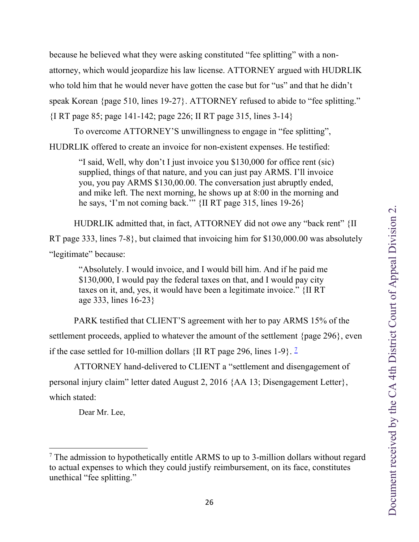because he believed what they were asking constituted "fee splitting" with a nonattorney, which would jeopardize his law license. ATTORNEY argued with HUDRLIK who told him that he would never have gotten the case but for "us" and that he didn't speak Korean {page 510, lines 19-27}. ATTORNEY refused to abide to "fee splitting." {I RT page 85; page 141-142; page 226; II RT page 315, lines 3-14}

To overcome ATTORNEY'S unwillingness to engage in "fee splitting",

HUDRLIK offered to create an invoice for non-existent expenses. He testified:

"I said, Well, why don't I just invoice you \$130,000 for office rent (sic) supplied, things of that nature, and you can just pay ARMS. I'll invoice you, you pay ARMS \$130,00.00. The conversation just abruptly ended, and mike left. The next morning, he shows up at 8:00 in the morning and he says, 'I'm not coming back.'" {II RT page 315, lines 19-26}

 HUDRLIK admitted that, in fact, ATTORNEY did not owe any "back rent" {II RT page 333, lines 7-8}, but claimed that invoicing him for \$130,000.00 was absolutely "legitimate" because:

"Absolutely. I would invoice, and I would bill him. And if he paid me \$130,000, I would pay the federal taxes on that, and I would pay city taxes on it, and, yes, it would have been a legitimate invoice." {II RT age 333, lines 16-23}

 PARK testified that CLIENT'S agreement with her to pay ARMS 15% of the settlement proceeds, applied to whatever the amount of the settlement {page 296}, even if the case settled for 10-million dollars  $\{$ II RT page 296, lines 1-9 $\}$ . <sup>[7](#page-25-0)</sup>

 ATTORNEY hand-delivered to CLIENT a "settlement and disengagement of personal injury claim" letter dated August 2, 2016 {AA 13; Disengagement Letter}, which stated:

Dear Mr. Lee,

<span id="page-25-0"></span> $<sup>7</sup>$  The admission to hypothetically entitle ARMS to up to 3-million dollars without regard</sup> to actual expenses to which they could justify reimbursement, on its face, constitutes unethical "fee splitting."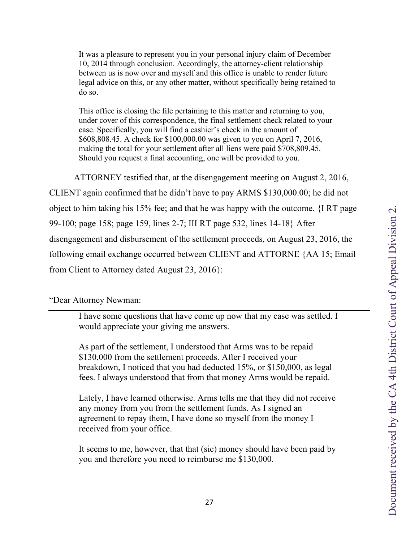It was a pleasure to represent you in your personal injury claim of December 10, 2014 through conclusion. Accordingly, the attorney-client relationship between us is now over and myself and this office is unable to render future legal advice on this, or any other matter, without specifically being retained to do so.

This office is closing the file pertaining to this matter and returning to you, under cover of this correspondence, the final settlement check related to your case. Specifically, you will find a cashier's check in the amount of \$608,808.45. A check for \$100,000.00 was given to you on April 7, 2016, making the total for your settlement after all liens were paid \$708,809.45. Should you request a final accounting, one will be provided to you.

ATTORNEY testified that, at the disengagement meeting on August 2, 2016, CLIENT again confirmed that he didn't have to pay ARMS \$130,000.00; he did not object to him taking his 15% fee; and that he was happy with the outcome. {I RT page 99-100; page 158; page 159, lines 2-7; III RT page 532, lines 14-18} After disengagement and disbursement of the settlement proceeds, on August 23, 2016, the following email exchange occurred between CLIENT and ATTORNE {AA 15; Email from Client to Attorney dated August 23, 2016}:

"Dear Attorney Newman:

I have some questions that have come up now that my case was settled. I would appreciate your giving me answers.

As part of the settlement, I understood that Arms was to be repaid \$130,000 from the settlement proceeds. After I received your breakdown, I noticed that you had deducted 15%, or \$150,000, as legal fees. I always understood that from that money Arms would be repaid.

Lately, I have learned otherwise. Arms tells me that they did not receive any money from you from the settlement funds. As I signed an agreement to repay them, I have done so myself from the money I received from your office.

It seems to me, however, that that (sic) money should have been paid by you and therefore you need to reimburse me \$130,000.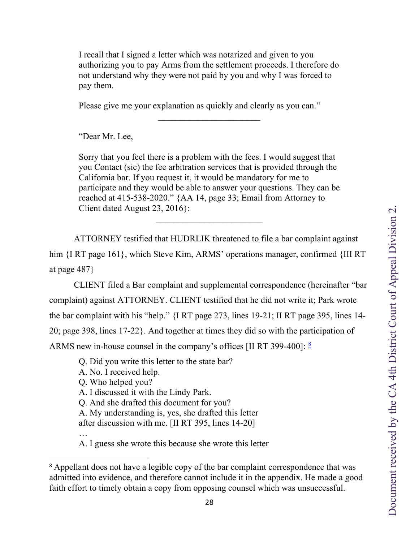I recall that I signed a letter which was notarized and given to you authorizing you to pay Arms from the settlement proceeds. I therefore do not understand why they were not paid by you and why I was forced to pay them.

 $\frac{1}{2}$  ,  $\frac{1}{2}$  ,  $\frac{1}{2}$  ,  $\frac{1}{2}$  ,  $\frac{1}{2}$  ,  $\frac{1}{2}$  ,  $\frac{1}{2}$  ,  $\frac{1}{2}$  ,  $\frac{1}{2}$  ,  $\frac{1}{2}$  ,  $\frac{1}{2}$  ,  $\frac{1}{2}$  ,  $\frac{1}{2}$  ,  $\frac{1}{2}$  ,  $\frac{1}{2}$  ,  $\frac{1}{2}$  ,  $\frac{1}{2}$  ,  $\frac{1}{2}$  ,  $\frac{1$ 

Please give me your explanation as quickly and clearly as you can."

"Dear Mr. Lee,

Sorry that you feel there is a problem with the fees. I would suggest that you Contact (sic) the fee arbitration services that is provided through the California bar. If you request it, it would be mandatory for me to participate and they would be able to answer your questions. They can be reached at 415-538-2020." {AA 14, page 33; Email from Attorney to Client dated August 23, 2016}:

 $\frac{1}{2}$  ,  $\frac{1}{2}$  ,  $\frac{1}{2}$  ,  $\frac{1}{2}$  ,  $\frac{1}{2}$  ,  $\frac{1}{2}$  ,  $\frac{1}{2}$  ,  $\frac{1}{2}$  ,  $\frac{1}{2}$  ,  $\frac{1}{2}$  ,  $\frac{1}{2}$  ,  $\frac{1}{2}$  ,  $\frac{1}{2}$  ,  $\frac{1}{2}$  ,  $\frac{1}{2}$  ,  $\frac{1}{2}$  ,  $\frac{1}{2}$  ,  $\frac{1}{2}$  ,  $\frac{1$ 

 ATTORNEY testified that HUDRLIK threatened to file a bar complaint against him  ${IRT}$  page 161}, which Steve Kim, ARMS' operations manager, confirmed  ${IIII RT}$ at page 487}

 CLIENT filed a Bar complaint and supplemental correspondence (hereinafter "bar complaint) against ATTORNEY. CLIENT testified that he did not write it; Park wrote the bar complaint with his "help." {I RT page 273, lines 19-21; II RT page 395, lines 14- 20; page 398, lines 17-22}. And together at times they did so with the participation of ARMS new in-house counsel in the company's offices [II RT 399-400]: [8](#page-27-0)

Q. Did you write this letter to the state bar?

A. No. I received help.

Q. Who helped you?

A. I discussed it with the Lindy Park.

Q. And she drafted this document for you?

A. My understanding is, yes, she drafted this letter

after discussion with me. [II RT 395, lines 14-20]

…

A. I guess she wrote this because she wrote this letter

<span id="page-27-0"></span><sup>&</sup>lt;sup>8</sup> Appellant does not have a legible copy of the bar complaint correspondence that was admitted into evidence, and therefore cannot include it in the appendix. He made a good faith effort to timely obtain a copy from opposing counsel which was unsuccessful.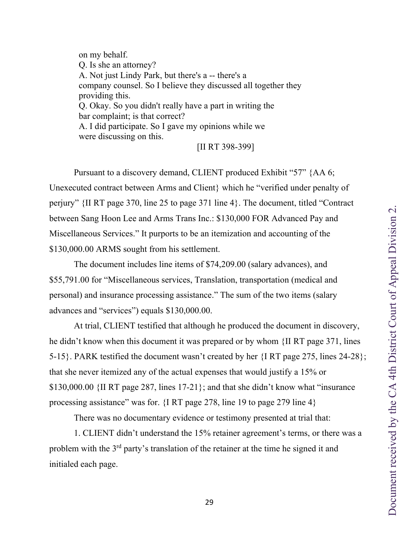on my behalf. Q. Is she an attorney? A. Not just Lindy Park, but there's a -- there's a company counsel. So I believe they discussed all together they providing this. Q. Okay. So you didn't really have a part in writing the bar complaint; is that correct? A. I did participate. So I gave my opinions while we were discussing on this.

[II RT 398-399]

Pursuant to a discovery demand, CLIENT produced Exhibit "57" {AA 6; Unexecuted contract between Arms and Client} which he "verified under penalty of perjury" {II RT page 370, line 25 to page 371 line 4}. The document, titled "Contract between Sang Hoon Lee and Arms Trans Inc.: \$130,000 FOR Advanced Pay and Miscellaneous Services." It purports to be an itemization and accounting of the \$130,000.00 ARMS sought from his settlement.

The document includes line items of \$74,209.00 (salary advances), and \$55,791.00 for "Miscellaneous services, Translation, transportation (medical and personal) and insurance processing assistance." The sum of the two items (salary advances and "services") equals \$130,000.00.

At trial, CLIENT testified that although he produced the document in discovery, he didn't know when this document it was prepared or by whom {II RT page 371, lines 5-15}. PARK testified the document wasn't created by her {I RT page 275, lines 24-28}; that she never itemized any of the actual expenses that would justify a 15% or \$130,000.00 {II RT page 287, lines 17-21}; and that she didn't know what "insurance processing assistance" was for. {I RT page 278, line 19 to page 279 line 4}

There was no documentary evidence or testimony presented at trial that:

1. CLIENT didn't understand the 15% retainer agreement's terms, or there was a problem with the 3rd party's translation of the retainer at the time he signed it and initialed each page.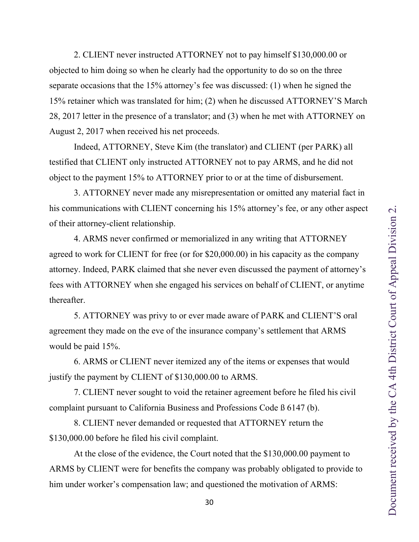<span id="page-29-0"></span>2. CLIENT never instructed ATTORNEY not to pay himself \$130,000.00 or objected to him doing so when he clearly had the opportunity to do so on the three separate occasions that the 15% attorney's fee was discussed: (1) when he signed the 15% retainer which was translated for him; (2) when he discussed ATTORNEY'S March 28, 2017 letter in the presence of a translator; and (3) when he met with ATTORNEY on August 2, 2017 when received his net proceeds.

Indeed, ATTORNEY, Steve Kim (the translator) and CLIENT (per PARK) all testified that CLIENT only instructed ATTORNEY not to pay ARMS, and he did not object to the payment 15% to ATTORNEY prior to or at the time of disbursement.

3. ATTORNEY never made any misrepresentation or omitted any material fact in his communications with CLIENT concerning his 15% attorney's fee, or any other aspect of their attorney-client relationship.

4. ARMS never confirmed or memorialized in any writing that ATTORNEY agreed to work for CLIENT for free (or for \$20,000.00) in his capacity as the company attorney. Indeed, PARK claimed that she never even discussed the payment of attorney's fees with ATTORNEY when she engaged his services on behalf of CLIENT, or anytime thereafter.

5. ATTORNEY was privy to or ever made aware of PARK and CLIENT'S oral agreement they made on the eve of the insurance company's settlement that ARMS would be paid 15%.

6. ARMS or CLIENT never itemized any of the items or expenses that would justify the payment by CLIENT of \$130,000.00 to ARMS.

7. CLIENT never sought to void the retainer agreement before he filed his civil complaint pursuant to California Business and Professions Code ß 6147 (b).

8. CLIENT never demanded or requested that ATTORNEY return the \$130,000.00 before he filed his civil complaint.

At the close of the evidence, the Court noted that the \$130,000.00 payment to ARMS by CLIENT were for benefits the company was probably obligated to provide to him under worker's compensation law; and questioned the motivation of ARMS: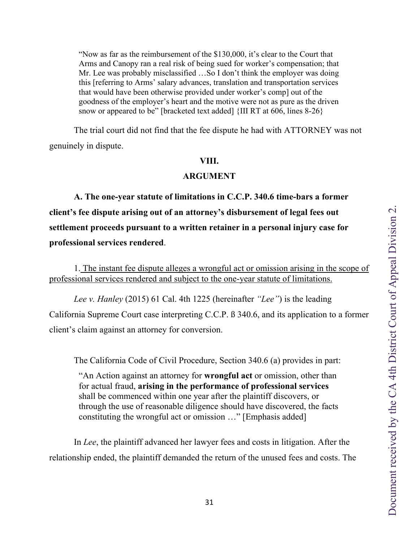<span id="page-30-0"></span>"Now as far as the reimbursement of the \$130,000, it's clear to the Court that Arms and Canopy ran a real risk of being sued for worker's compensation; that Mr. Lee was probably misclassified …So I don't think the employer was doing this [referring to Arms' salary advances, translation and transportation services that would have been otherwise provided under worker's comp] out of the goodness of the employer's heart and the motive were not as pure as the driven snow or appeared to be" [bracketed text added] {III RT at 606, lines 8-26}

The trial court did not find that the fee dispute he had with ATTORNEY was not genuinely in dispute.

#### **VIII.**

#### **ARGUMENT**

**A. The one-year statute of limitations in C.C.P. 340.6 time-bars a former client's fee dispute arising out of an attorney's disbursement of legal fees out settlement proceeds pursuant to a written retainer in a personal injury case for professional services rendered**.

1. The instant fee dispute alleges a wrongful act or omission arising in the scope of professional services rendered and subject to the one-year statute of limitations.

*Lee v. Hanley* (2015) 61 Cal. 4th 1225 (hereinafter *"Lee"*) is the leading California Supreme Court case interpreting C.C.P. ß 340.6, and its application to a former client's claim against an attorney for conversion.

The California Code of Civil Procedure, Section 340.6 (a) provides in part:

"An Action against an attorney for **wrongful act** or omission, other than for actual fraud, **arising in the performance of professional services** shall be commenced within one year after the plaintiff discovers, or through the use of reasonable diligence should have discovered, the facts constituting the wrongful act or omission …" [Emphasis added]

In *Lee*, the plaintiff advanced her lawyer fees and costs in litigation. After the relationship ended, the plaintiff demanded the return of the unused fees and costs. The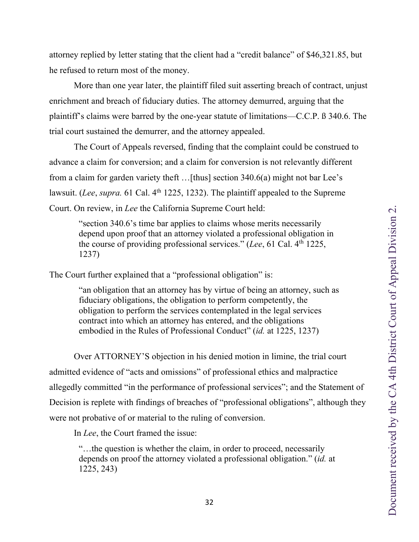<span id="page-31-0"></span>attorney replied by letter stating that the client had a "credit balance" of \$46,321.85, but he refused to return most of the money.

More than one year later, the plaintiff filed suit asserting breach of contract, unjust enrichment and breach of fiduciary duties. The attorney demurred, arguing that the plaintiff's claims were barred by the one-year statute of limitations—C.C.P. ß 340.6. The trial court sustained the demurrer, and the attorney appealed.

The Court of Appeals reversed, finding that the complaint could be construed to advance a claim for conversion; and a claim for conversion is not relevantly different from a claim for garden variety theft …[thus] section 340.6(a) might not bar Lee's lawsuit. (*Lee*, *supra*. 61 Cal. 4<sup>th</sup> 1225, 1232). The plaintiff appealed to the Supreme Court. On review, in *Lee* the California Supreme Court held:

"section 340.6's time bar applies to claims whose merits necessarily depend upon proof that an attorney violated a professional obligation in the course of providing professional services." (*Lee*, 61 Cal. 4th 1225, 1237)

The Court further explained that a "professional obligation" is:

"an obligation that an attorney has by virtue of being an attorney, such as fiduciary obligations, the obligation to perform competently, the obligation to perform the services contemplated in the legal services contract into which an attorney has entered, and the obligations embodied in the Rules of Professional Conduct" (*id.* at 1225, 1237)

Over ATTORNEY'S objection in his denied motion in limine, the trial court admitted evidence of "acts and omissions" of professional ethics and malpractice allegedly committed "in the performance of professional services"; and the Statement of Decision is replete with findings of breaches of "professional obligations", although they were not probative of or material to the ruling of conversion.

In *Lee*, the Court framed the issue:

"…the question is whether the claim, in order to proceed, necessarily depends on proof the attorney violated a professional obligation." (*id.* at 1225, 243)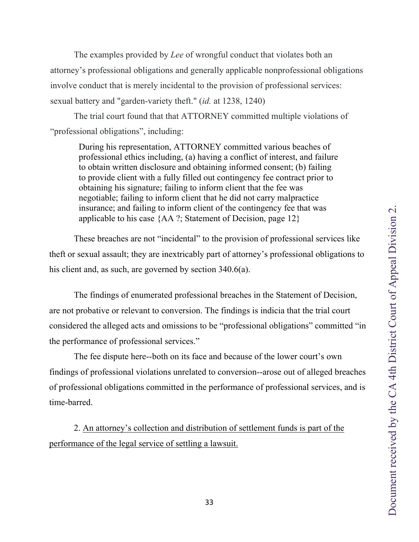<span id="page-32-0"></span>The examples provided by *Lee* of wrongful conduct that violates both an attorney's professional obligations and generally applicable nonprofessional obligations involve conduct that is merely incidental to the provision of professional services: sexual battery and "garden-variety theft." (*id.* at 1238, 1240)

The trial court found that that ATTORNEY committed multiple violations of "professional obligations", including:

During his representation, ATTORNEY committed various beaches of professional ethics including, (a) having a conflict of interest, and failure to obtain written disclosure and obtaining informed consent; (b) failing to provide client with a fully filled out contingency fee contract prior to obtaining his signature; failing to inform client that the fee was negotiable; failing to inform client that he did not carry malpractice insurance; and failing to inform client of the contingency fee that was applicable to his case {AA ?; Statement of Decision, page 12}

These breaches are not "incidental" to the provision of professional services like theft or sexual assault; they are inextricably part of attorney's professional obligations to his client and, as such, are governed by section 340.6(a).

The findings of enumerated professional breaches in the Statement of Decision, are not probative or relevant to conversion. The findings is indicia that the trial court considered the alleged acts and omissions to be "professional obligations" committed "in the performance of professional services."

The fee dispute here--both on its face and because of the lower court's own findings of professional violations unrelated to conversion--arose out of alleged breaches of professional obligations committed in the performance of professional services, and is time-barred.

2. An attorney's collection and distribution of settlement funds is part of the performance of the legal service of settling a lawsuit.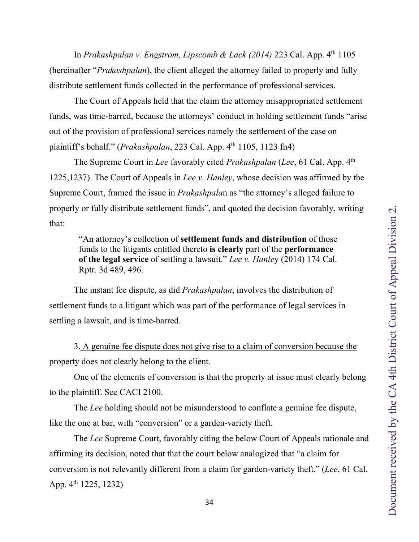<span id="page-33-0"></span>In *Prakashpalan v. Engstrom, Lipscomb & Lack (2014)* 223 Cal. App. 4<sup>th</sup> 1105 (hereinafter "*Prakashpalan*), the client alleged the attorney failed to properly and fully distribute settlement funds collected in the performance of professional services.

The Court of Appeals held that the claim the attorney misappropriated settlement funds, was time-barred, because the attorneys' conduct in holding settlement funds "arise out of the provision of professional services namely the settlement of the case on plaintiff's behalf." (*Prakashpalan*, 223 Cal. App. 4th 1105, 1123 fn4)

The Supreme Court in *Lee* favorably cited *Prakashpalan* (*Lee*, 61 Cal. App. 4th 1225,1237). The Court of Appeals in *Lee v. Hanley*, whose decision was affirmed by the Supreme Court, framed the issue in *Prakashpala*n as "the attorney's alleged failure to properly or fully distribute settlement funds", and quoted the decision favorably, writing that:

"An attorney's collection of **settlement funds and distribution** of those funds to the litigants entitled thereto **is clearly** part of the **performance of the legal service** of settling a lawsuit." *Lee v. Hanle*y (2014) 174 Cal. Rptr. 3d 489, 496.

The instant fee dispute, as did *Prakashpalan*, involves the distribution of settlement funds to a litigant which was part of the performance of legal services in settling a lawsuit, and is time-barred.

3. A genuine fee dispute does not give rise to a claim of conversion because the property does not clearly belong to the client.

One of the elements of conversion is that the property at issue must clearly belong to the plaintiff. See CACI 2100.

The *Lee* holding should not be misunderstood to conflate a genuine fee dispute, like the one at bar, with "conversion" or a garden-variety theft.

The *Lee* Supreme Court, favorably citing the below Court of Appeals rationale and affirming its decision, noted that that the court below analogized that "a claim for conversion is not relevantly different from a claim for garden-variety theft." (*Lee*, 61 Cal. App. 4<sup>th</sup> 1225, 1232)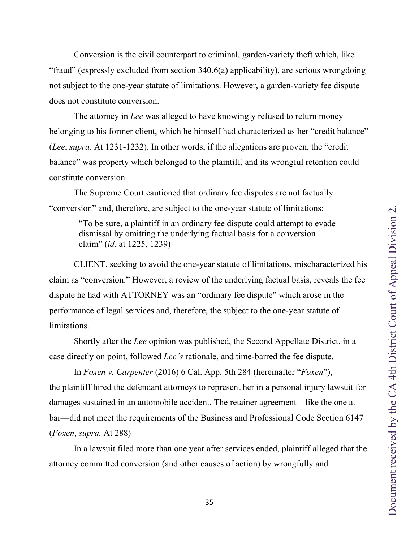<span id="page-34-0"></span>Conversion is the civil counterpart to criminal, garden-variety theft which, like "fraud" (expressly excluded from section 340.6(a) applicability), are serious wrongdoing not subject to the one-year statute of limitations. However, a garden-variety fee dispute does not constitute conversion.

The attorney in *Lee* was alleged to have knowingly refused to return money belonging to his former client, which he himself had characterized as her "credit balance" (*Lee*, *supra*. At 1231-1232). In other words, if the allegations are proven, the "credit balance" was property which belonged to the plaintiff, and its wrongful retention could constitute conversion.

The Supreme Court cautioned that ordinary fee disputes are not factually "conversion" and, therefore, are subject to the one-year statute of limitations:

> "To be sure, a plaintiff in an ordinary fee dispute could attempt to evade dismissal by omitting the underlying factual basis for a conversion claim" (*id.* at 1225, 1239)

CLIENT, seeking to avoid the one-year statute of limitations, mischaracterized his claim as "conversion." However, a review of the underlying factual basis, reveals the fee dispute he had with ATTORNEY was an "ordinary fee dispute" which arose in the performance of legal services and, therefore, the subject to the one-year statute of limitations.

Shortly after the *Lee* opinion was published, the Second Appellate District, in a case directly on point, followed *Lee's* rationale, and time-barred the fee dispute.

In *Foxen v. Carpenter* (2016) 6 Cal. App. 5th 284 (hereinafter "*Foxen*"), the plaintiff hired the defendant attorneys to represent her in a personal injury lawsuit for damages sustained in an automobile accident. The retainer agreement—like the one at bar—did not meet the requirements of the Business and Professional Code Section 6147 (*Foxen*, *supra.* At 288)

In a lawsuit filed more than one year after services ended, plaintiff alleged that the attorney committed conversion (and other causes of action) by wrongfully and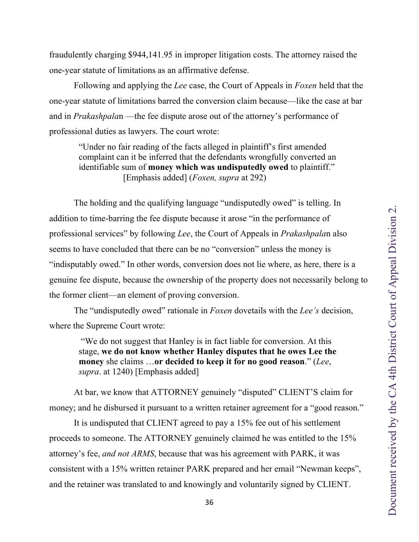<span id="page-35-0"></span>fraudulently charging \$944,141.95 in improper litigation costs. The attorney raised the one-year statute of limitations as an affirmative defense.

Following and applying the *Lee* case, the Court of Appeals in *Foxen* held that the one-year statute of limitations barred the conversion claim because—like the case at bar and in *Prakashpala*n —the fee dispute arose out of the attorney's performance of professional duties as lawyers. The court wrote:

"Under no fair reading of the facts alleged in plaintiff's first amended complaint can it be inferred that the defendants wrongfully converted an identifiable sum of **money which was undisputedly owed** to plaintiff." [Emphasis added] (*Foxen, supra* at 292)

The holding and the qualifying language "undisputedly owed" is telling. In addition to time-barring the fee dispute because it arose "in the performance of professional services" by following *Lee*, the Court of Appeals in *Prakashpala*n also seems to have concluded that there can be no "conversion" unless the money is "indisputably owed." In other words, conversion does not lie where, as here, there is a genuine fee dispute, because the ownership of the property does not necessarily belong to the former client—an element of proving conversion.

The "undisputedly owed" rationale in *Foxen* dovetails with the *Lee's* decision, where the Supreme Court wrote:

"We do not suggest that Hanley is in fact liable for conversion. At this stage, **we do not know whether Hanley disputes that he owes Lee the money** she claims …**or decided to keep it for no good reason**." (*Lee*, *supra*. at 1240) [Emphasis added]

At bar, we know that ATTORNEY genuinely "disputed" CLIENT'S claim for money; and he disbursed it pursuant to a written retainer agreement for a "good reason."

It is undisputed that CLIENT agreed to pay a 15% fee out of his settlement proceeds to someone. The ATTORNEY genuinely claimed he was entitled to the 15% attorney's fee, *and not ARMS*, because that was his agreement with PARK, it was consistent with a 15% written retainer PARK prepared and her email "Newman keeps", and the retainer was translated to and knowingly and voluntarily signed by CLIENT.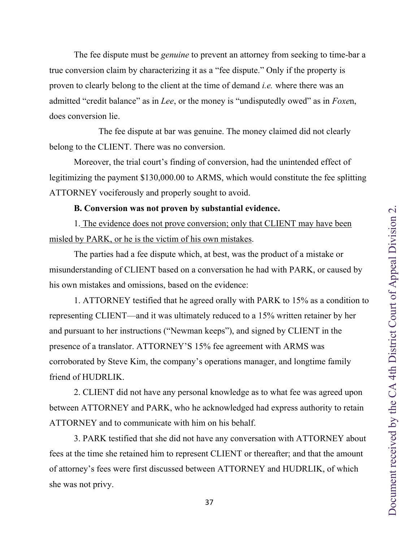<span id="page-36-0"></span>The fee dispute must be *genuine* to prevent an attorney from seeking to time-bar a true conversion claim by characterizing it as a "fee dispute." Only if the property is proven to clearly belong to the client at the time of demand *i.e.* where there was an admitted "credit balance" as in *Lee*, or the money is "undisputedly owed" as in *Foxe*n, does conversion lie.

The fee dispute at bar was genuine. The money claimed did not clearly belong to the CLIENT. There was no conversion.

Moreover, the trial court's finding of conversion, had the unintended effect of legitimizing the payment \$130,000.00 to ARMS, which would constitute the fee splitting ATTORNEY vociferously and properly sought to avoid.

### **B. Conversion was not proven by substantial evidence.**

1. The evidence does not prove conversion; only that CLIENT may have been misled by PARK, or he is the victim of his own mistakes.

The parties had a fee dispute which, at best, was the product of a mistake or misunderstanding of CLIENT based on a conversation he had with PARK, or caused by his own mistakes and omissions, based on the evidence:

1. ATTORNEY testified that he agreed orally with PARK to 15% as a condition to representing CLIENT—and it was ultimately reduced to a 15% written retainer by her and pursuant to her instructions ("Newman keeps"), and signed by CLIENT in the presence of a translator. ATTORNEY'S 15% fee agreement with ARMS was corroborated by Steve Kim, the company's operations manager, and longtime family friend of HUDRLIK.

2. CLIENT did not have any personal knowledge as to what fee was agreed upon between ATTORNEY and PARK, who he acknowledged had express authority to retain ATTORNEY and to communicate with him on his behalf.

3. PARK testified that she did not have any conversation with ATTORNEY about fees at the time she retained him to represent CLIENT or thereafter; and that the amount of attorney's fees were first discussed between ATTORNEY and HUDRLIK, of which she was not privy.

37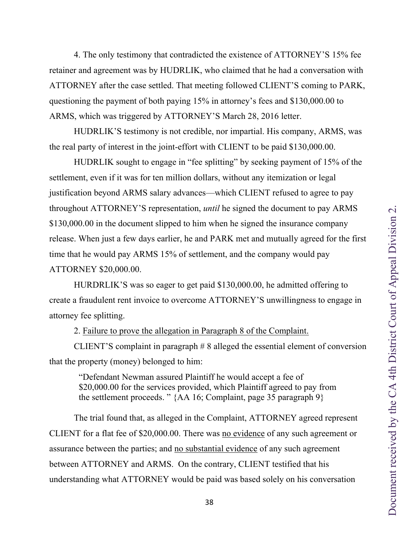<span id="page-37-0"></span>4. The only testimony that contradicted the existence of ATTORNEY'S 15% fee retainer and agreement was by HUDRLIK, who claimed that he had a conversation with ATTORNEY after the case settled. That meeting followed CLIENT'S coming to PARK, questioning the payment of both paying 15% in attorney's fees and \$130,000.00 to ARMS, which was triggered by ATTORNEY'S March 28, 2016 letter.

HUDRLIK'S testimony is not credible, nor impartial. His company, ARMS, was the real party of interest in the joint-effort with CLIENT to be paid \$130,000.00.

HUDRLIK sought to engage in "fee splitting" by seeking payment of 15% of the settlement, even if it was for ten million dollars, without any itemization or legal justification beyond ARMS salary advances—which CLIENT refused to agree to pay throughout ATTORNEY'S representation, *until* he signed the document to pay ARMS \$130,000.00 in the document slipped to him when he signed the insurance company release. When just a few days earlier, he and PARK met and mutually agreed for the first time that he would pay ARMS 15% of settlement, and the company would pay ATTORNEY \$20,000.00.

HURDRLIK'S was so eager to get paid \$130,000.00, he admitted offering to create a fraudulent rent invoice to overcome ATTORNEY'S unwillingness to engage in attorney fee splitting.

2. Failure to prove the allegation in Paragraph 8 of the Complaint.

CLIENT'S complaint in paragraph # 8 alleged the essential element of conversion that the property (money) belonged to him:

"Defendant Newman assured Plaintiff he would accept a fee of \$20,000.00 for the services provided, which Plaintiff agreed to pay from the settlement proceeds. " {AA 16; Complaint, page 35 paragraph 9}

The trial found that, as alleged in the Complaint, ATTORNEY agreed represent CLIENT for a flat fee of \$20,000.00. There was no evidence of any such agreement or assurance between the parties; and no substantial evidence of any such agreement between ATTORNEY and ARMS. On the contrary, CLIENT testified that his understanding what ATTORNEY would be paid was based solely on his conversation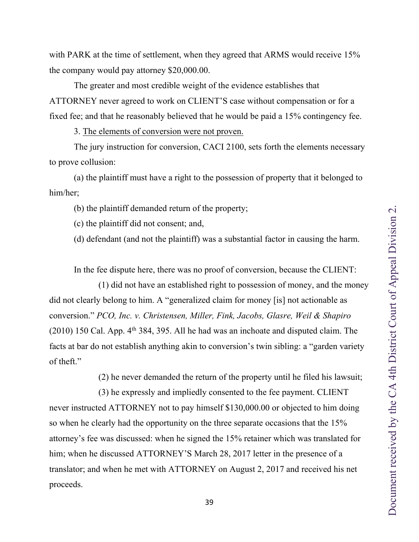<span id="page-38-0"></span>with PARK at the time of settlement, when they agreed that ARMS would receive 15% the company would pay attorney \$20,000.00.

The greater and most credible weight of the evidence establishes that ATTORNEY never agreed to work on CLIENT'S case without compensation or for a fixed fee; and that he reasonably believed that he would be paid a 15% contingency fee.

3. The elements of conversion were not proven.

The jury instruction for conversion, CACI 2100, sets forth the elements necessary to prove collusion:

(a) the plaintiff must have a right to the possession of property that it belonged to him/her;

(b) the plaintiff demanded return of the property;

(c) the plaintiff did not consent; and,

(d) defendant (and not the plaintiff) was a substantial factor in causing the harm.

In the fee dispute here, there was no proof of conversion, because the CLIENT:

(1) did not have an established right to possession of money, and the money did not clearly belong to him. A "generalized claim for money [is] not actionable as conversion." *PCO, Inc. v. Christensen, Miller, Fink, Jacobs, Glasre, Weil & Shapiro*   $(2010)$  150 Cal. App.  $4<sup>th</sup> 384$ , 395. All he had was an inchoate and disputed claim. The facts at bar do not establish anything akin to conversion's twin sibling: a "garden variety of theft."

(2) he never demanded the return of the property until he filed his lawsuit;

(3) he expressly and impliedly consented to the fee payment. CLIENT never instructed ATTORNEY not to pay himself \$130,000.00 or objected to him doing so when he clearly had the opportunity on the three separate occasions that the 15% attorney's fee was discussed: when he signed the 15% retainer which was translated for him; when he discussed ATTORNEY'S March 28, 2017 letter in the presence of a translator; and when he met with ATTORNEY on August 2, 2017 and received his net proceeds.

39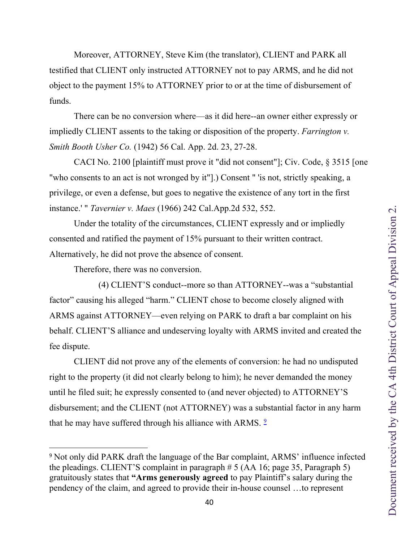Document received by the CA 4th District Court of Appeal Division 2. Document received by the CA 4th District Court of Appeal Division 2.

<span id="page-39-0"></span>Moreover, ATTORNEY, Steve Kim (the translator), CLIENT and PARK all testified that CLIENT only instructed ATTORNEY not to pay ARMS, and he did not object to the payment 15% to ATTORNEY prior to or at the time of disbursement of funds.

 There can be no conversion where—as it did here--an owner either expressly or impliedly CLIENT assents to the taking or disposition of the property. *Farrington v. Smith Booth Usher Co.* (1942) 56 Cal. App. 2d. 23, 27-28.

 CACI No. 2100 [plaintiff must prove it "did not consent"]; Civ. Code, § 3515 [one "who consents to an act is not wronged by it"].) Consent " 'is not, strictly speaking, a privilege, or even a defense, but goes to negative the existence of any tort in the first instance.' " *Tavernier v. Maes* (1966) 242 Cal.App.2d 532, 552.

 Under the totality of the circumstances, CLIENT expressly and or impliedly consented and ratified the payment of 15% pursuant to their written contract. Alternatively, he did not prove the absence of consent.

Therefore, there was no conversion.

 (4) CLIENT'S conduct--more so than ATTORNEY--was a "substantial factor" causing his alleged "harm." CLIENT chose to become closely aligned with ARMS against ATTORNEY—even relying on PARK to draft a bar complaint on his behalf. CLIENT'S alliance and undeserving loyalty with ARMS invited and created the fee dispute.

 CLIENT did not prove any of the elements of conversion: he had no undisputed right to the property (it did not clearly belong to him); he never demanded the money until he filed suit; he expressly consented to (and never objected) to ATTORNEY'S disbursement; and the CLIENT (not ATTORNEY) was a substantial factor in any harm that he may have suffered through his alliance with ARMS.<sup>[9](#page-39-1)</sup>

40

<span id="page-39-1"></span><sup>9</sup> Not only did PARK draft the language of the Bar complaint, ARMS' influence infected the pleadings. CLIENT'S complaint in paragraph  $\# 5$  (AA 16; page 35, Paragraph 5) gratuitously states that **"Arms generously agreed** to pay Plaintiff's salary during the pendency of the claim, and agreed to provide their in-house counsel …to represent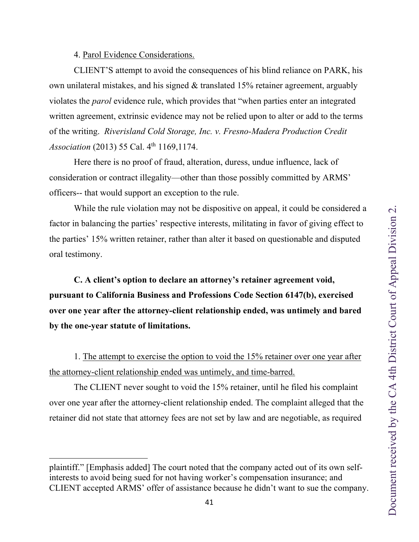4. Parol Evidence Considerations.

<span id="page-40-0"></span>CLIENT'S attempt to avoid the consequences of his blind reliance on PARK, his own unilateral mistakes, and his signed & translated 15% retainer agreement, arguably violates the *parol* evidence rule, which provides that "when parties enter an integrated written agreement, extrinsic evidence may not be relied upon to alter or add to the terms of the writing. *Riverisland Cold Storage, Inc. v. Fresno-Madera Production Credit Association* (2013) 55 Cal. 4<sup>th</sup> 1169,1174.

Here there is no proof of fraud, alteration, duress, undue influence, lack of consideration or contract illegality—other than those possibly committed by ARMS' officers-- that would support an exception to the rule.

While the rule violation may not be dispositive on appeal, it could be considered a factor in balancing the parties' respective interests, militating in favor of giving effect to the parties' 15% written retainer, rather than alter it based on questionable and disputed oral testimony.

**C. A client's option to declare an attorney's retainer agreement void, pursuant to California Business and Professions Code Section 6147(b), exercised over one year after the attorney-client relationship ended, was untimely and bared by the one-year statute of limitations.**

1. The attempt to exercise the option to void the 15% retainer over one year after the attorney-client relationship ended was untimely, and time-barred.

The CLIENT never sought to void the 15% retainer, until he filed his complaint over one year after the attorney-client relationship ended. The complaint alleged that the retainer did not state that attorney fees are not set by law and are negotiable, as required

plaintiff." [Emphasis added] The court noted that the company acted out of its own selfinterests to avoid being sued for not having worker's compensation insurance; and CLIENT accepted ARMS' offer of assistance because he didn't want to sue the company.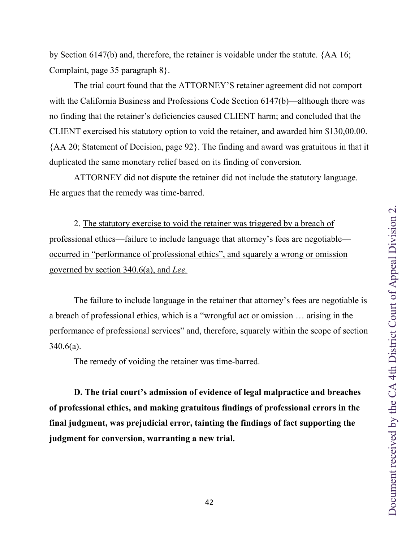<span id="page-41-0"></span>by Section 6147(b) and, therefore, the retainer is voidable under the statute. {AA 16; Complaint, page 35 paragraph 8}.

The trial court found that the ATTORNEY'S retainer agreement did not comport with the California Business and Professions Code Section 6147(b)—although there was no finding that the retainer's deficiencies caused CLIENT harm; and concluded that the CLIENT exercised his statutory option to void the retainer, and awarded him \$130,00.00. {AA 20; Statement of Decision, page 92}. The finding and award was gratuitous in that it duplicated the same monetary relief based on its finding of conversion.

ATTORNEY did not dispute the retainer did not include the statutory language. He argues that the remedy was time-barred.

2. The statutory exercise to void the retainer was triggered by a breach of professional ethics—failure to include language that attorney's fees are negotiable occurred in "performance of professional ethics", and squarely a wrong or omission governed by section 340.6(a), and *Lee.*

The failure to include language in the retainer that attorney's fees are negotiable is a breach of professional ethics, which is a "wrongful act or omission … arising in the performance of professional services" and, therefore, squarely within the scope of section  $340.6(a)$ .

The remedy of voiding the retainer was time-barred.

**D. The trial court's admission of evidence of legal malpractice and breaches of professional ethics, and making gratuitous findings of professional errors in the final judgment, was prejudicial error, tainting the findings of fact supporting the judgment for conversion, warranting a new trial.**

42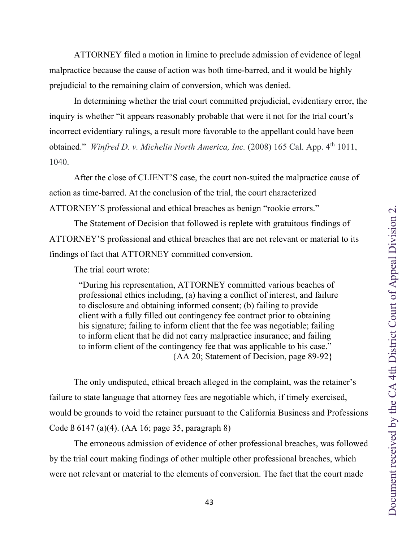<span id="page-42-0"></span> ATTORNEY filed a motion in limine to preclude admission of evidence of legal malpractice because the cause of action was both time-barred, and it would be highly prejudicial to the remaining claim of conversion, which was denied.

 In determining whether the trial court committed prejudicial, evidentiary error, the inquiry is whether "it appears reasonably probable that were it not for the trial court's incorrect evidentiary rulings, a result more favorable to the appellant could have been obtained." *Winfred D. v. Michelin North America, Inc.* (2008) 165 Cal. App. 4<sup>th</sup> 1011, 1040.

 After the close of CLIENT'S case, the court non-suited the malpractice cause of action as time-barred. At the conclusion of the trial, the court characterized ATTORNEY'S professional and ethical breaches as benign "rookie errors."

 The Statement of Decision that followed is replete with gratuitous findings of ATTORNEY'S professional and ethical breaches that are not relevant or material to its findings of fact that ATTORNEY committed conversion.

The trial court wrote:

"During his representation, ATTORNEY committed various beaches of professional ethics including, (a) having a conflict of interest, and failure to disclosure and obtaining informed consent; (b) failing to provide client with a fully filled out contingency fee contract prior to obtaining his signature; failing to inform client that the fee was negotiable; failing to inform client that he did not carry malpractice insurance; and failing to inform client of the contingency fee that was applicable to his case." {AA 20; Statement of Decision, page 89-92}

 The only undisputed, ethical breach alleged in the complaint, was the retainer's failure to state language that attorney fees are negotiable which, if timely exercised, would be grounds to void the retainer pursuant to the California Business and Professions Code ß 6147 (a)(4). (AA 16; page 35, paragraph 8)

 The erroneous admission of evidence of other professional breaches, was followed by the trial court making findings of other multiple other professional breaches, which were not relevant or material to the elements of conversion. The fact that the court made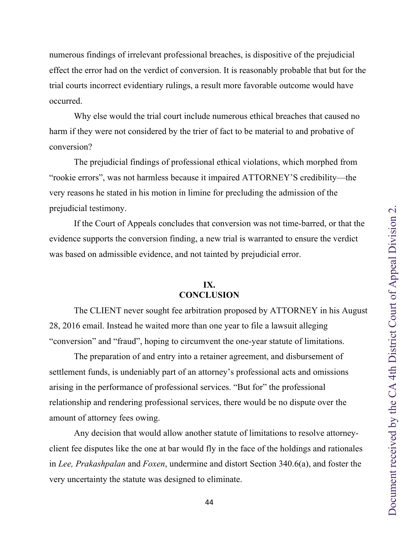<span id="page-43-0"></span>numerous findings of irrelevant professional breaches, is dispositive of the prejudicial effect the error had on the verdict of conversion. It is reasonably probable that but for the trial courts incorrect evidentiary rulings, a result more favorable outcome would have occurred.

Why else would the trial court include numerous ethical breaches that caused no harm if they were not considered by the trier of fact to be material to and probative of conversion?

The prejudicial findings of professional ethical violations, which morphed from "rookie errors", was not harmless because it impaired ATTORNEY'S credibility—the very reasons he stated in his motion in limine for precluding the admission of the prejudicial testimony.

If the Court of Appeals concludes that conversion was not time-barred, or that the evidence supports the conversion finding, a new trial is warranted to ensure the verdict was based on admissible evidence, and not tainted by prejudicial error.

# **IX. CONCLUSION**

The CLIENT never sought fee arbitration proposed by ATTORNEY in his August 28, 2016 email. Instead he waited more than one year to file a lawsuit alleging "conversion" and "fraud", hoping to circumvent the one-year statute of limitations.

The preparation of and entry into a retainer agreement, and disbursement of settlement funds, is undeniably part of an attorney's professional acts and omissions arising in the performance of professional services. "But for" the professional relationship and rendering professional services, there would be no dispute over the amount of attorney fees owing.

Any decision that would allow another statute of limitations to resolve attorneyclient fee disputes like the one at bar would fly in the face of the holdings and rationales in *Lee, Prakashpalan* and *Foxen*, undermine and distort Section 340.6(a), and foster the very uncertainty the statute was designed to eliminate.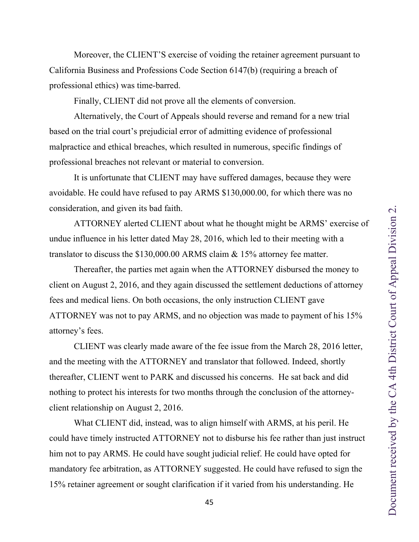<span id="page-44-0"></span>California Business and Professions Code Section 6147(b) (requiring a breach of professional ethics) was time-barred. Finally, CLIENT did not prove all the elements of conversion. Alternatively, the Court of Appeals should reverse and remand for a new trial

Moreover, the CLIENT'S exercise of voiding the retainer agreement pursuant to

based on the trial court's prejudicial error of admitting evidence of professional malpractice and ethical breaches, which resulted in numerous, specific findings of professional breaches not relevant or material to conversion.

It is unfortunate that CLIENT may have suffered damages, because they were avoidable. He could have refused to pay ARMS \$130,000.00, for which there was no consideration, and given its bad faith.

ATTORNEY alerted CLIENT about what he thought might be ARMS' exercise of undue influence in his letter dated May 28, 2016, which led to their meeting with a translator to discuss the \$130,000.00 ARMS claim & 15% attorney fee matter.

Thereafter, the parties met again when the ATTORNEY disbursed the money to client on August 2, 2016, and they again discussed the settlement deductions of attorney fees and medical liens. On both occasions, the only instruction CLIENT gave ATTORNEY was not to pay ARMS, and no objection was made to payment of his 15% attorney's fees.

CLIENT was clearly made aware of the fee issue from the March 28, 2016 letter, and the meeting with the ATTORNEY and translator that followed. Indeed, shortly thereafter, CLIENT went to PARK and discussed his concerns. He sat back and did nothing to protect his interests for two months through the conclusion of the attorneyclient relationship on August 2, 2016.

What CLIENT did, instead, was to align himself with ARMS, at his peril. He could have timely instructed ATTORNEY not to disburse his fee rather than just instruct him not to pay ARMS. He could have sought judicial relief. He could have opted for mandatory fee arbitration, as ATTORNEY suggested. He could have refused to sign the 15% retainer agreement or sought clarification if it varied from his understanding. He

45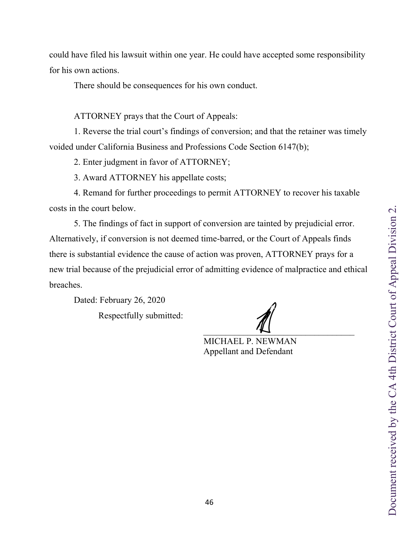could have filed his lawsuit within one year. He could have accepted some responsibility for his own actions.

There should be consequences for his own conduct.

ATTORNEY prays that the Court of Appeals:

 1. Reverse the trial court's findings of conversion; and that the retainer was timely voided under California Business and Professions Code Section 6147(b);

2. Enter judgment in favor of ATTORNEY;

3. Award ATTORNEY his appellate costs;

 4. Remand for further proceedings to permit ATTORNEY to recover his taxable costs in the court below.

 5. The findings of fact in support of conversion are tainted by prejudicial error. Alternatively, if conversion is not deemed time-barred, or the Court of Appeals finds there is substantial evidence the cause of action was proven, ATTORNEY prays for a new trial because of the prejudicial error of admitting evidence of malpractice and ethical breaches.

Dated: February 26, 2020

Respectfully submitted:

 $\overline{\phantom{a}}$ Michael P Nerman  $\mathcal{L}$ 

 MICHAEL P. NEWMAN Appellant and Defendant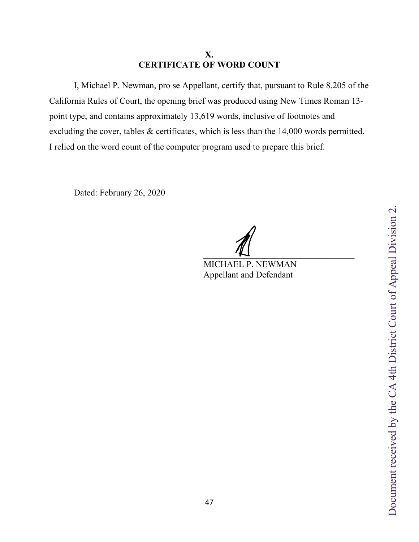# **X. CERTIFICATE OF WORD COUNT**

<span id="page-46-0"></span>I, Michael P. Newman, pro se Appellant, certify that, pursuant to Rule 8.205 of the California Rules of Court, the opening brief was produced using New Times Roman 13 point type, and contains approximately 13,619 words, inclusive of footnotes and excluding the cover, tables & certificates, which is less than the 14,000 words permitted. I relied on the word count of the computer program used to prepare this brief.

Dated: February 26, 2020

 $\overline{\phantom{a}}$ 

 MICHAEL P. NEWMAN Appellant and Defendant